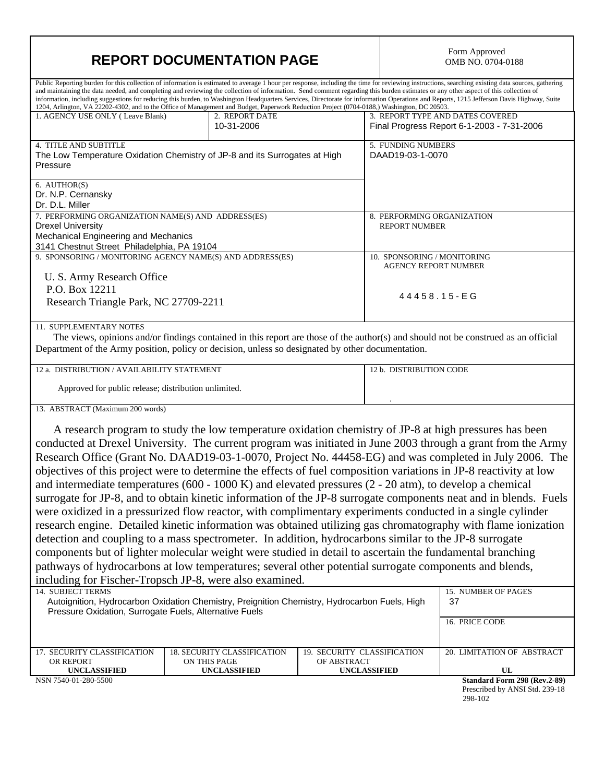| <b>REPORT DOCUMENTATION PAGE</b>                                                                                                                                                                                                                                                                                                                                                                                                                                                                                               | Form Approved<br>OMB NO. 0704-0188                                                                |                                    |                                                                                                                                                                                                                                                                                                                                  |  |  |  |  |  |  |
|--------------------------------------------------------------------------------------------------------------------------------------------------------------------------------------------------------------------------------------------------------------------------------------------------------------------------------------------------------------------------------------------------------------------------------------------------------------------------------------------------------------------------------|---------------------------------------------------------------------------------------------------|------------------------------------|----------------------------------------------------------------------------------------------------------------------------------------------------------------------------------------------------------------------------------------------------------------------------------------------------------------------------------|--|--|--|--|--|--|
|                                                                                                                                                                                                                                                                                                                                                                                                                                                                                                                                |                                                                                                   |                                    | Public Reporting burden for this collection of information is estimated to average 1 hour per response, including the time for reviewing instructions, searching existing data sources, gathering                                                                                                                                |  |  |  |  |  |  |
| and maintaining the data needed, and completing and reviewing the collection of information. Send comment regarding this burden estimates or any other aspect of this collection of<br>information, including suggestions for reducing this burden, to Washington Headquarters Services, Directorate for information Operations and Reports, 1215 Jefferson Davis Highway, Suite<br>1204, Arlington, VA 22202-4302, and to the Office of Management and Budget, Paperwork Reduction Project (0704-0188,) Washington, DC 20503. |                                                                                                   |                                    |                                                                                                                                                                                                                                                                                                                                  |  |  |  |  |  |  |
| 1. AGENCY USE ONLY (Leave Blank)                                                                                                                                                                                                                                                                                                                                                                                                                                                                                               | 2. REPORT DATE<br>10-31-2006                                                                      |                                    | 3. REPORT TYPE AND DATES COVERED<br>Final Progress Report 6-1-2003 - 7-31-2006                                                                                                                                                                                                                                                   |  |  |  |  |  |  |
| 4. TITLE AND SUBTITLE<br>Pressure                                                                                                                                                                                                                                                                                                                                                                                                                                                                                              | The Low Temperature Oxidation Chemistry of JP-8 and its Surrogates at High                        |                                    | 5. FUNDING NUMBERS<br>DAAD19-03-1-0070                                                                                                                                                                                                                                                                                           |  |  |  |  |  |  |
| 6. AUTHOR(S)<br>Dr. N.P. Cernansky<br>Dr. D.L. Miller                                                                                                                                                                                                                                                                                                                                                                                                                                                                          |                                                                                                   |                                    |                                                                                                                                                                                                                                                                                                                                  |  |  |  |  |  |  |
| 7. PERFORMING ORGANIZATION NAME(S) AND ADDRESS(ES)<br><b>Drexel University</b><br>Mechanical Engineering and Mechanics<br>3141 Chestnut Street Philadelphia, PA 19104                                                                                                                                                                                                                                                                                                                                                          |                                                                                                   |                                    | 8. PERFORMING ORGANIZATION<br><b>REPORT NUMBER</b>                                                                                                                                                                                                                                                                               |  |  |  |  |  |  |
| U. S. Army Research Office                                                                                                                                                                                                                                                                                                                                                                                                                                                                                                     | 9. SPONSORING / MONITORING AGENCY NAME(S) AND ADDRESS(ES)                                         |                                    | 10. SPONSORING / MONITORING<br><b>AGENCY REPORT NUMBER</b>                                                                                                                                                                                                                                                                       |  |  |  |  |  |  |
| P.O. Box 12211<br>Research Triangle Park, NC 27709-2211                                                                                                                                                                                                                                                                                                                                                                                                                                                                        |                                                                                                   |                                    | 44458.15-EG                                                                                                                                                                                                                                                                                                                      |  |  |  |  |  |  |
| 11. SUPPLEMENTARY NOTES                                                                                                                                                                                                                                                                                                                                                                                                                                                                                                        | Department of the Army position, policy or decision, unless so designated by other documentation. |                                    | The views, opinions and/or findings contained in this report are those of the author(s) and should not be construed as an official                                                                                                                                                                                               |  |  |  |  |  |  |
| 12 a. DISTRIBUTION / AVAILABILITY STATEMENT                                                                                                                                                                                                                                                                                                                                                                                                                                                                                    |                                                                                                   |                                    | 12 b. DISTRIBUTION CODE                                                                                                                                                                                                                                                                                                          |  |  |  |  |  |  |
| Approved for public release; distribution unlimited.                                                                                                                                                                                                                                                                                                                                                                                                                                                                           |                                                                                                   |                                    |                                                                                                                                                                                                                                                                                                                                  |  |  |  |  |  |  |
| 13. ABSTRACT (Maximum 200 words)                                                                                                                                                                                                                                                                                                                                                                                                                                                                                               |                                                                                                   |                                    |                                                                                                                                                                                                                                                                                                                                  |  |  |  |  |  |  |
|                                                                                                                                                                                                                                                                                                                                                                                                                                                                                                                                |                                                                                                   |                                    | A research program to study the low temperature oxidation chemistry of JP-8 at high pressures has been<br>conducted at Drexel University. The current program was initiated in June 2003 through a grant from the Army<br>Research Office (Grant No. DAAD19-03-1-0070, Project No. 44458-EG) and was completed in July 2006. The |  |  |  |  |  |  |
|                                                                                                                                                                                                                                                                                                                                                                                                                                                                                                                                |                                                                                                   |                                    | objectives of this project were to determine the effects of fuel composition variations in JP-8 reactivity at low                                                                                                                                                                                                                |  |  |  |  |  |  |
|                                                                                                                                                                                                                                                                                                                                                                                                                                                                                                                                |                                                                                                   |                                    | and intermediate temperatures (600 - 1000 K) and elevated pressures ( $2 - 20$ atm), to develop a chemical                                                                                                                                                                                                                       |  |  |  |  |  |  |
|                                                                                                                                                                                                                                                                                                                                                                                                                                                                                                                                |                                                                                                   |                                    | surrogate for JP-8, and to obtain kinetic information of the JP-8 surrogate components neat and in blends. Fuels                                                                                                                                                                                                                 |  |  |  |  |  |  |
|                                                                                                                                                                                                                                                                                                                                                                                                                                                                                                                                |                                                                                                   |                                    | were oxidized in a pressurized flow reactor, with complimentary experiments conducted in a single cylinder                                                                                                                                                                                                                       |  |  |  |  |  |  |
|                                                                                                                                                                                                                                                                                                                                                                                                                                                                                                                                |                                                                                                   |                                    | research engine. Detailed kinetic information was obtained utilizing gas chromatography with flame ionization                                                                                                                                                                                                                    |  |  |  |  |  |  |
|                                                                                                                                                                                                                                                                                                                                                                                                                                                                                                                                |                                                                                                   |                                    | detection and coupling to a mass spectrometer. In addition, hydrocarbons similar to the JP-8 surrogate                                                                                                                                                                                                                           |  |  |  |  |  |  |
|                                                                                                                                                                                                                                                                                                                                                                                                                                                                                                                                |                                                                                                   |                                    | components but of lighter molecular weight were studied in detail to ascertain the fundamental branching                                                                                                                                                                                                                         |  |  |  |  |  |  |
| pathways of hydrocarbons at low temperatures; several other potential surrogate components and blends,                                                                                                                                                                                                                                                                                                                                                                                                                         |                                                                                                   |                                    |                                                                                                                                                                                                                                                                                                                                  |  |  |  |  |  |  |
| including for Fischer-Tropsch JP-8, were also examined.                                                                                                                                                                                                                                                                                                                                                                                                                                                                        |                                                                                                   |                                    |                                                                                                                                                                                                                                                                                                                                  |  |  |  |  |  |  |
| <b>14. SUBJECT TERMS</b><br>Autoignition, Hydrocarbon Oxidation Chemistry, Preignition Chemistry, Hydrocarbon Fuels, High                                                                                                                                                                                                                                                                                                                                                                                                      | 15. NUMBER OF PAGES<br>37                                                                         |                                    |                                                                                                                                                                                                                                                                                                                                  |  |  |  |  |  |  |
| Pressure Oxidation, Surrogate Fuels, Alternative Fuels                                                                                                                                                                                                                                                                                                                                                                                                                                                                         |                                                                                                   |                                    |                                                                                                                                                                                                                                                                                                                                  |  |  |  |  |  |  |
|                                                                                                                                                                                                                                                                                                                                                                                                                                                                                                                                |                                                                                                   |                                    | 16. PRICE CODE                                                                                                                                                                                                                                                                                                                   |  |  |  |  |  |  |
| 17. SECURITY CLASSIFICATION                                                                                                                                                                                                                                                                                                                                                                                                                                                                                                    | <b>18. SECURITY CLASSIFICATION</b>                                                                | 19. SECURITY CLASSIFICATION        | 20. LIMITATION OF ABSTRACT                                                                                                                                                                                                                                                                                                       |  |  |  |  |  |  |
| OR REPORT<br><b>UNCLASSIFIED</b>                                                                                                                                                                                                                                                                                                                                                                                                                                                                                               | ON THIS PAGE<br><b>UNCLASSIFIED</b>                                                               | OF ABSTRACT<br><b>UNCLASSIFIED</b> | UL                                                                                                                                                                                                                                                                                                                               |  |  |  |  |  |  |
| NSN 7540-01-280-5500                                                                                                                                                                                                                                                                                                                                                                                                                                                                                                           |                                                                                                   |                                    | Standard Form 298 (Rev.2-89)                                                                                                                                                                                                                                                                                                     |  |  |  |  |  |  |

 Prescribed by ANSI Std. 239-18 298-102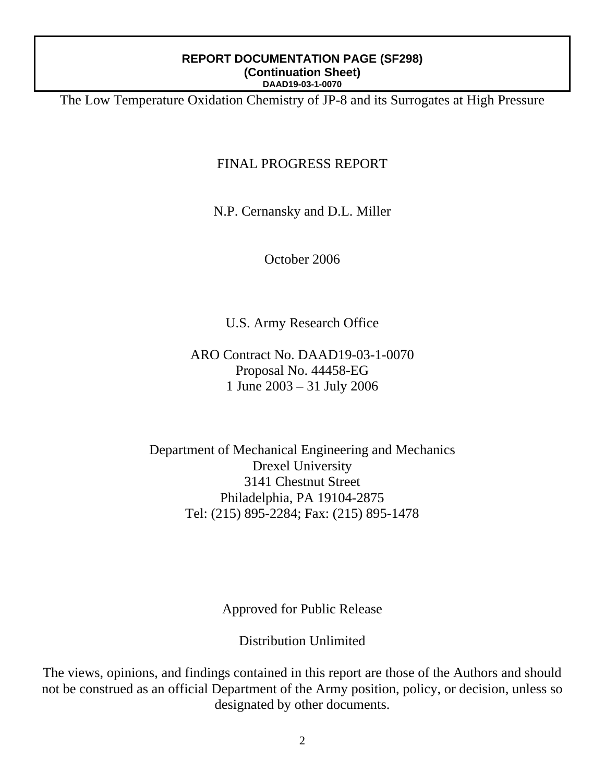The Low Temperature Oxidation Chemistry of JP-8 and its Surrogates at High Pressure

## FINAL PROGRESS REPORT

N.P. Cernansky and D.L. Miller

October 2006

U.S. Army Research Office

ARO Contract No. DAAD19-03-1-0070 Proposal No. 44458-EG 1 June 2003 – 31 July 2006

Department of Mechanical Engineering and Mechanics Drexel University 3141 Chestnut Street Philadelphia, PA 19104-2875 Tel: (215) 895-2284; Fax: (215) 895-1478

Approved for Public Release

Distribution Unlimited

The views, opinions, and findings contained in this report are those of the Authors and should not be construed as an official Department of the Army position, policy, or decision, unless so designated by other documents.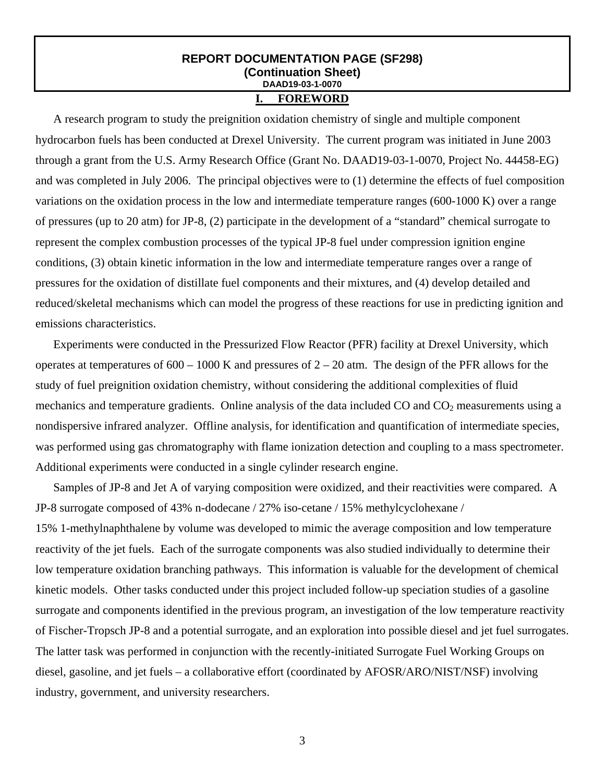## **I. FOREWORD**

A research program to study the preignition oxidation chemistry of single and multiple component hydrocarbon fuels has been conducted at Drexel University. The current program was initiated in June 2003 through a grant from the U.S. Army Research Office (Grant No. DAAD19-03-1-0070, Project No. 44458-EG) and was completed in July 2006. The principal objectives were to (1) determine the effects of fuel composition variations on the oxidation process in the low and intermediate temperature ranges (600-1000 K) over a range of pressures (up to 20 atm) for JP-8, (2) participate in the development of a "standard" chemical surrogate to represent the complex combustion processes of the typical JP-8 fuel under compression ignition engine conditions, (3) obtain kinetic information in the low and intermediate temperature ranges over a range of pressures for the oxidation of distillate fuel components and their mixtures, and (4) develop detailed and reduced/skeletal mechanisms which can model the progress of these reactions for use in predicting ignition and emissions characteristics.

Experiments were conducted in the Pressurized Flow Reactor (PFR) facility at Drexel University, which operates at temperatures of  $600 - 1000$  K and pressures of  $2 - 20$  atm. The design of the PFR allows for the study of fuel preignition oxidation chemistry, without considering the additional complexities of fluid mechanics and temperature gradients. Online analysis of the data included  $CO$  and  $CO<sub>2</sub>$  measurements using a nondispersive infrared analyzer. Offline analysis, for identification and quantification of intermediate species, was performed using gas chromatography with flame ionization detection and coupling to a mass spectrometer. Additional experiments were conducted in a single cylinder research engine.

Samples of JP-8 and Jet A of varying composition were oxidized, and their reactivities were compared. A JP-8 surrogate composed of 43% n-dodecane / 27% iso-cetane / 15% methylcyclohexane / 15% 1-methylnaphthalene by volume was developed to mimic the average composition and low temperature reactivity of the jet fuels. Each of the surrogate components was also studied individually to determine their low temperature oxidation branching pathways. This information is valuable for the development of chemical kinetic models. Other tasks conducted under this project included follow-up speciation studies of a gasoline surrogate and components identified in the previous program, an investigation of the low temperature reactivity of Fischer-Tropsch JP-8 and a potential surrogate, and an exploration into possible diesel and jet fuel surrogates. The latter task was performed in conjunction with the recently-initiated Surrogate Fuel Working Groups on diesel, gasoline, and jet fuels – a collaborative effort (coordinated by AFOSR/ARO/NIST/NSF) involving industry, government, and university researchers.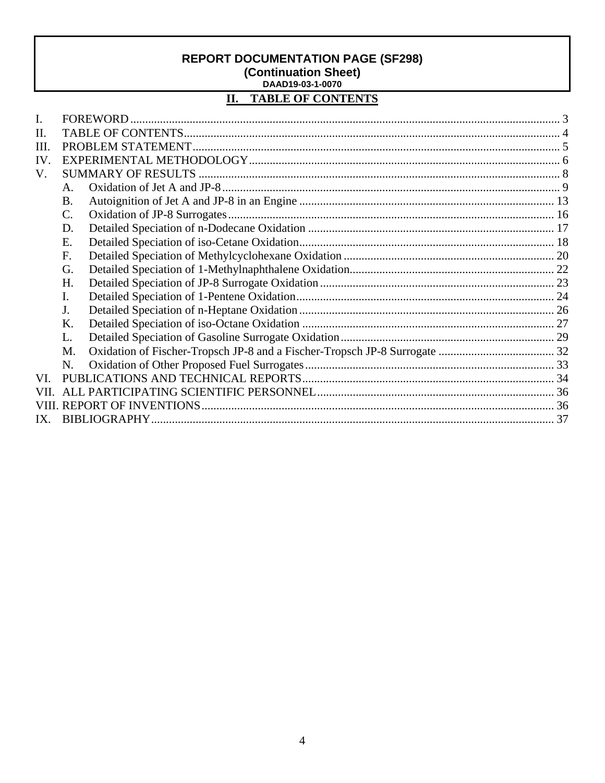#### $\overline{\mathbf{II}}$ . **TABLE OF CONTENTS**

| L.   |                |  |  |  |  |  |  |  |
|------|----------------|--|--|--|--|--|--|--|
| II.  |                |  |  |  |  |  |  |  |
| III. |                |  |  |  |  |  |  |  |
| IV.  |                |  |  |  |  |  |  |  |
| V.   |                |  |  |  |  |  |  |  |
|      | $A_{-}$        |  |  |  |  |  |  |  |
|      | <b>B.</b>      |  |  |  |  |  |  |  |
|      | $\mathbf{C}$ . |  |  |  |  |  |  |  |
|      | D.             |  |  |  |  |  |  |  |
|      | E.             |  |  |  |  |  |  |  |
|      | $F_{\cdot}$    |  |  |  |  |  |  |  |
|      | G.             |  |  |  |  |  |  |  |
|      | H.             |  |  |  |  |  |  |  |
|      | I.             |  |  |  |  |  |  |  |
|      | J.             |  |  |  |  |  |  |  |
|      | Κ.             |  |  |  |  |  |  |  |
|      | L.             |  |  |  |  |  |  |  |
|      | M.             |  |  |  |  |  |  |  |
|      | N.             |  |  |  |  |  |  |  |
| VL.  |                |  |  |  |  |  |  |  |
| VII  |                |  |  |  |  |  |  |  |
|      |                |  |  |  |  |  |  |  |
| IX.  |                |  |  |  |  |  |  |  |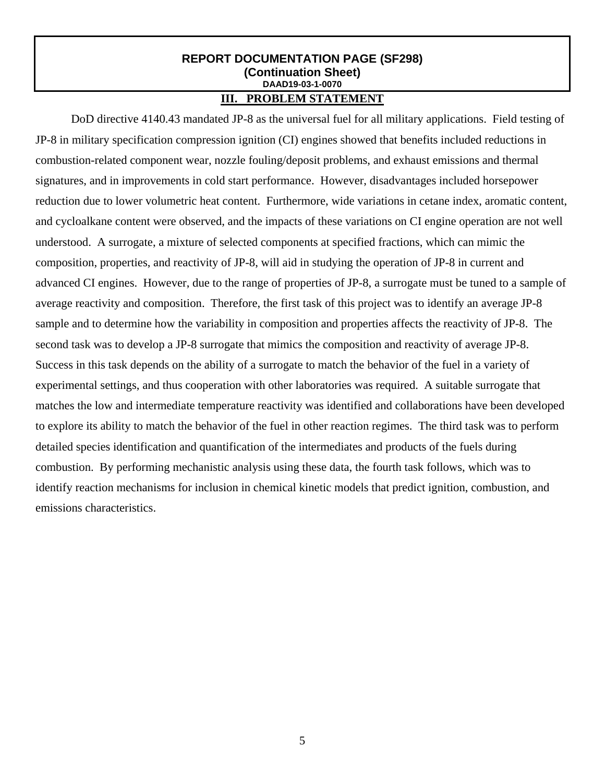## **III. PROBLEM STATEMENT**

 DoD directive 4140.43 mandated JP-8 as the universal fuel for all military applications. Field testing of JP-8 in military specification compression ignition (CI) engines showed that benefits included reductions in combustion-related component wear, nozzle fouling/deposit problems, and exhaust emissions and thermal signatures, and in improvements in cold start performance. However, disadvantages included horsepower reduction due to lower volumetric heat content. Furthermore, wide variations in cetane index, aromatic content, and cycloalkane content were observed, and the impacts of these variations on CI engine operation are not well understood. A surrogate, a mixture of selected components at specified fractions, which can mimic the composition, properties, and reactivity of JP-8, will aid in studying the operation of JP-8 in current and advanced CI engines. However, due to the range of properties of JP-8, a surrogate must be tuned to a sample of average reactivity and composition. Therefore, the first task of this project was to identify an average JP-8 sample and to determine how the variability in composition and properties affects the reactivity of JP-8. The second task was to develop a JP-8 surrogate that mimics the composition and reactivity of average JP-8. Success in this task depends on the ability of a surrogate to match the behavior of the fuel in a variety of experimental settings, and thus cooperation with other laboratories was required. A suitable surrogate that matches the low and intermediate temperature reactivity was identified and collaborations have been developed to explore its ability to match the behavior of the fuel in other reaction regimes. The third task was to perform detailed species identification and quantification of the intermediates and products of the fuels during combustion. By performing mechanistic analysis using these data, the fourth task follows, which was to identify reaction mechanisms for inclusion in chemical kinetic models that predict ignition, combustion, and emissions characteristics.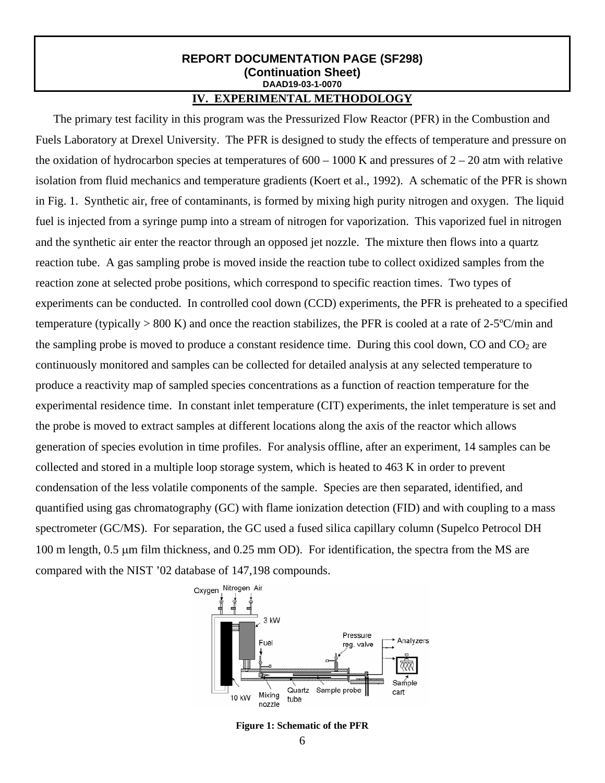## **IV. EXPERIMENTAL METHODOLOGY**

The primary test facility in this program was the Pressurized Flow Reactor (PFR) in the Combustion and Fuels Laboratory at Drexel University. The PFR is designed to study the effects of temperature and pressure on the oxidation of hydrocarbon species at temperatures of  $600 - 1000$  K and pressures of  $2 - 20$  atm with relative isolation from fluid mechanics and temperature gradients (Koert et al., 1992). A schematic of the PFR is shown in Fig. 1. Synthetic air, free of contaminants, is formed by mixing high purity nitrogen and oxygen. The liquid fuel is injected from a syringe pump into a stream of nitrogen for vaporization. This vaporized fuel in nitrogen and the synthetic air enter the reactor through an opposed jet nozzle. The mixture then flows into a quartz reaction tube. A gas sampling probe is moved inside the reaction tube to collect oxidized samples from the reaction zone at selected probe positions, which correspond to specific reaction times. Two types of experiments can be conducted. In controlled cool down (CCD) experiments, the PFR is preheated to a specified temperature (typically > 800 K) and once the reaction stabilizes, the PFR is cooled at a rate of 2-5ºC/min and the sampling probe is moved to produce a constant residence time. During this cool down, CO and  $CO<sub>2</sub>$  are continuously monitored and samples can be collected for detailed analysis at any selected temperature to produce a reactivity map of sampled species concentrations as a function of reaction temperature for the experimental residence time. In constant inlet temperature (CIT) experiments, the inlet temperature is set and the probe is moved to extract samples at different locations along the axis of the reactor which allows generation of species evolution in time profiles. For analysis offline, after an experiment, 14 samples can be collected and stored in a multiple loop storage system, which is heated to 463 K in order to prevent condensation of the less volatile components of the sample. Species are then separated, identified, and quantified using gas chromatography (GC) with flame ionization detection (FID) and with coupling to a mass spectrometer (GC/MS). For separation, the GC used a fused silica capillary column (Supelco Petrocol DH 100 m length, 0.5 µm film thickness, and 0.25 mm OD). For identification, the spectra from the MS are compared with the NIST '02 database of 147,198 compounds.



**Figure 1: Schematic of the PFR**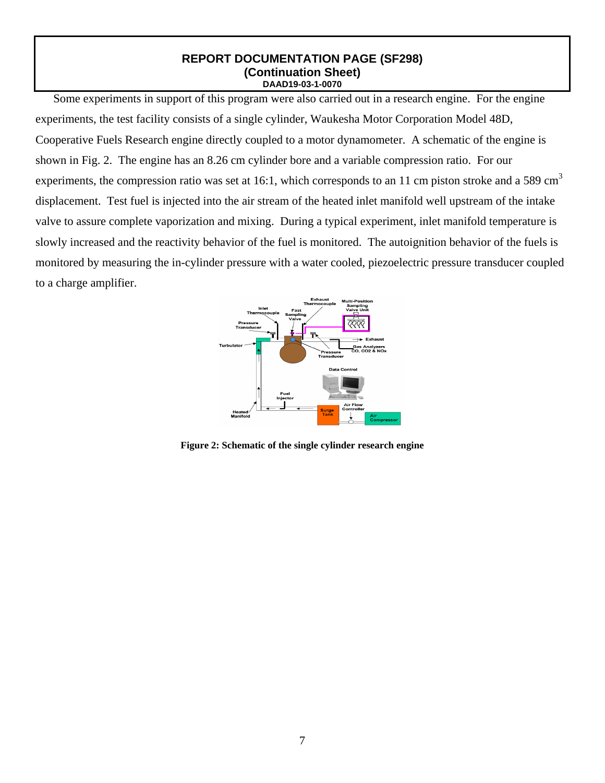Some experiments in support of this program were also carried out in a research engine. For the engine experiments, the test facility consists of a single cylinder, Waukesha Motor Corporation Model 48D, Cooperative Fuels Research engine directly coupled to a motor dynamometer. A schematic of the engine is shown in Fig. 2. The engine has an 8.26 cm cylinder bore and a variable compression ratio. For our experiments, the compression ratio was set at 16:1, which corresponds to an 11 cm piston stroke and a 589 cm<sup>3</sup> displacement. Test fuel is injected into the air stream of the heated inlet manifold well upstream of the intake valve to assure complete vaporization and mixing. During a typical experiment, inlet manifold temperature is slowly increased and the reactivity behavior of the fuel is monitored. The autoignition behavior of the fuels is monitored by measuring the in-cylinder pressure with a water cooled, piezoelectric pressure transducer coupled to a charge amplifier.



**Figure 2: Schematic of the single cylinder research engine**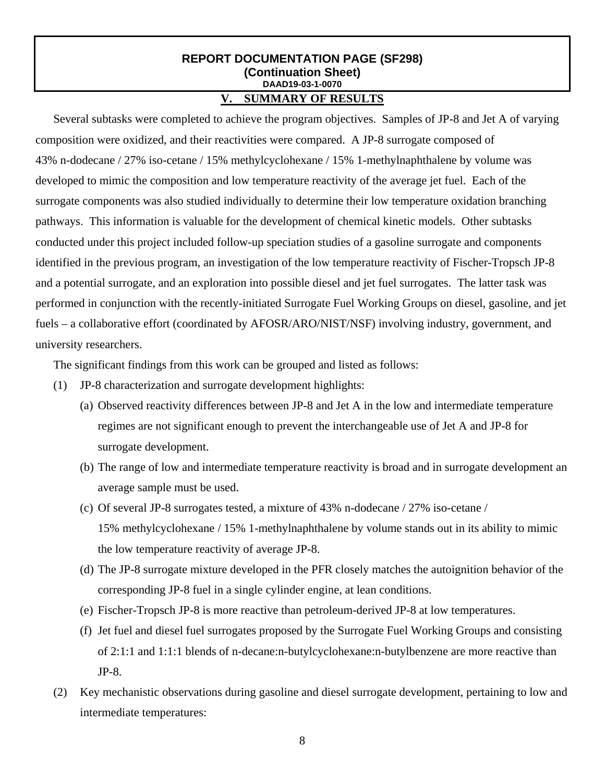## **V. SUMMARY OF RESULTS**

Several subtasks were completed to achieve the program objectives. Samples of JP-8 and Jet A of varying composition were oxidized, and their reactivities were compared. A JP-8 surrogate composed of 43% n-dodecane / 27% iso-cetane / 15% methylcyclohexane / 15% 1-methylnaphthalene by volume was developed to mimic the composition and low temperature reactivity of the average jet fuel. Each of the surrogate components was also studied individually to determine their low temperature oxidation branching pathways. This information is valuable for the development of chemical kinetic models. Other subtasks conducted under this project included follow-up speciation studies of a gasoline surrogate and components identified in the previous program, an investigation of the low temperature reactivity of Fischer-Tropsch JP-8 and a potential surrogate, and an exploration into possible diesel and jet fuel surrogates. The latter task was performed in conjunction with the recently-initiated Surrogate Fuel Working Groups on diesel, gasoline, and jet fuels – a collaborative effort (coordinated by AFOSR/ARO/NIST/NSF) involving industry, government, and university researchers.

The significant findings from this work can be grouped and listed as follows:

- (1) JP-8 characterization and surrogate development highlights:
	- (a) Observed reactivity differences between JP-8 and Jet A in the low and intermediate temperature regimes are not significant enough to prevent the interchangeable use of Jet A and JP-8 for surrogate development.
	- (b) The range of low and intermediate temperature reactivity is broad and in surrogate development an average sample must be used.
	- (c) Of several JP-8 surrogates tested, a mixture of 43% n-dodecane / 27% iso-cetane / 15% methylcyclohexane / 15% 1-methylnaphthalene by volume stands out in its ability to mimic the low temperature reactivity of average JP-8.
	- (d) The JP-8 surrogate mixture developed in the PFR closely matches the autoignition behavior of the corresponding JP-8 fuel in a single cylinder engine, at lean conditions.
	- (e) Fischer-Tropsch JP-8 is more reactive than petroleum-derived JP-8 at low temperatures.
	- (f) Jet fuel and diesel fuel surrogates proposed by the Surrogate Fuel Working Groups and consisting of 2:1:1 and 1:1:1 blends of n-decane:n-butylcyclohexane:n-butylbenzene are more reactive than JP-8.
- (2) Key mechanistic observations during gasoline and diesel surrogate development, pertaining to low and intermediate temperatures: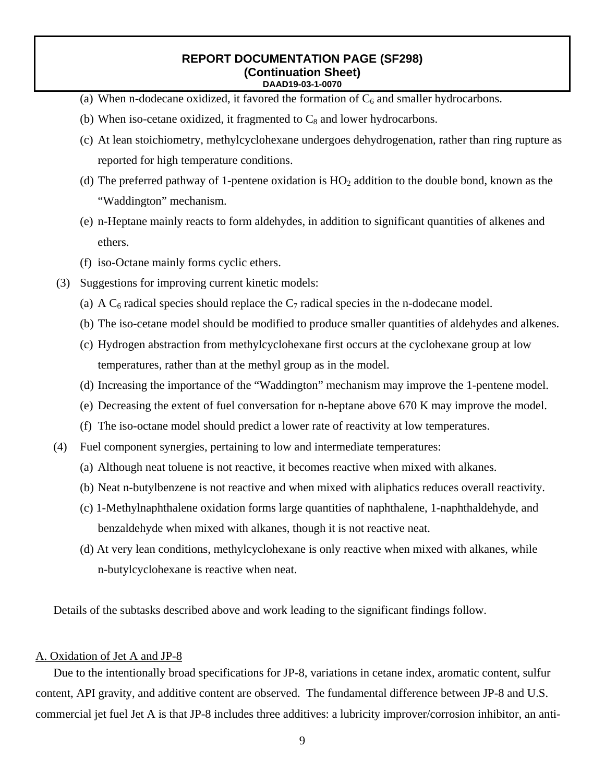- (a) When n-dodecane oxidized, it favored the formation of  $C_6$  and smaller hydrocarbons.
- (b) When iso-cetane oxidized, it fragmented to  $C_8$  and lower hydrocarbons.
- (c) At lean stoichiometry, methylcyclohexane undergoes dehydrogenation, rather than ring rupture as reported for high temperature conditions.
- (d) The preferred pathway of 1-pentene oxidation is  $HO<sub>2</sub>$  addition to the double bond, known as the "Waddington" mechanism.
- (e) n-Heptane mainly reacts to form aldehydes, in addition to significant quantities of alkenes and ethers.
- (f) iso-Octane mainly forms cyclic ethers.
- (3) Suggestions for improving current kinetic models:
	- (a) A  $C_6$  radical species should replace the  $C_7$  radical species in the n-dodecane model.
	- (b) The iso-cetane model should be modified to produce smaller quantities of aldehydes and alkenes.
	- (c) Hydrogen abstraction from methylcyclohexane first occurs at the cyclohexane group at low temperatures, rather than at the methyl group as in the model.
	- (d) Increasing the importance of the "Waddington" mechanism may improve the 1-pentene model.
	- (e) Decreasing the extent of fuel conversation for n-heptane above 670 K may improve the model.
	- (f) The iso-octane model should predict a lower rate of reactivity at low temperatures.
- (4) Fuel component synergies, pertaining to low and intermediate temperatures:
	- (a) Although neat toluene is not reactive, it becomes reactive when mixed with alkanes.
	- (b) Neat n-butylbenzene is not reactive and when mixed with aliphatics reduces overall reactivity.
	- (c) 1-Methylnaphthalene oxidation forms large quantities of naphthalene, 1-naphthaldehyde, and benzaldehyde when mixed with alkanes, though it is not reactive neat.
	- (d) At very lean conditions, methylcyclohexane is only reactive when mixed with alkanes, while n-butylcyclohexane is reactive when neat.

Details of the subtasks described above and work leading to the significant findings follow.

#### A. Oxidation of Jet A and JP-8

Due to the intentionally broad specifications for JP-8, variations in cetane index, aromatic content, sulfur content, API gravity, and additive content are observed. The fundamental difference between JP-8 and U.S. commercial jet fuel Jet A is that JP-8 includes three additives: a lubricity improver/corrosion inhibitor, an anti-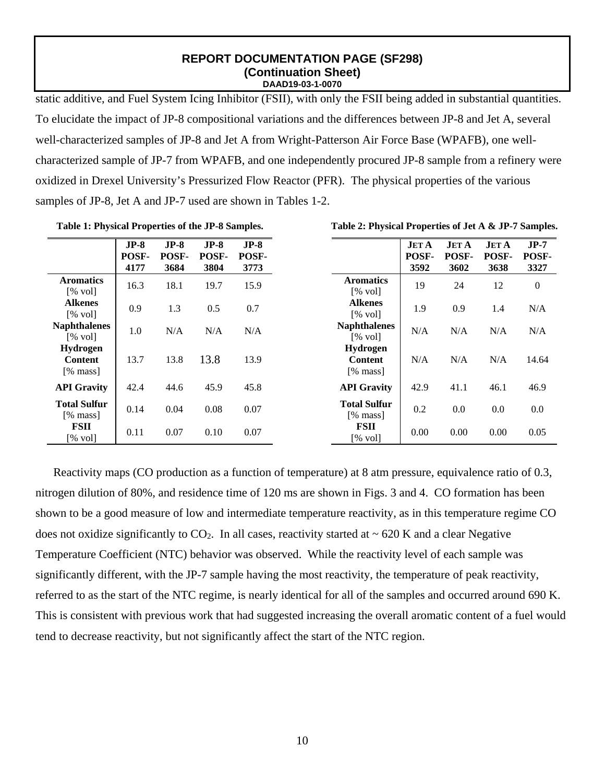static additive, and Fuel System Icing Inhibitor (FSII), with only the FSII being added in substantial quantities. To elucidate the impact of JP-8 compositional variations and the differences between JP-8 and Jet A, several well-characterized samples of JP-8 and Jet A from Wright-Patterson Air Force Base (WPAFB), one wellcharacterized sample of JP-7 from WPAFB, and one independently procured JP-8 sample from a refinery were oxidized in Drexel University's Pressurized Flow Reactor (PFR). The physical properties of the various samples of JP-8, Jet A and JP-7 used are shown in Tables 1-2.

**Table 1: Physical Properties of the JP-8 Samples.** 

|                                          | $JP-8$<br>POSF- | $JP-8$<br>POSF- | $JP-8$<br>POSF- | $JP-8$<br>POSF- |
|------------------------------------------|-----------------|-----------------|-----------------|-----------------|
|                                          | 4177            | 3684            | 3804            | 3773            |
| <b>Aromatics</b><br>[% vol]              | 16.3            | 18.1            | 19.7            | 15.9            |
| <b>Alkenes</b><br>[% vol]                | 0.9             | 1.3             | 0.5             | 0.7             |
| <b>Naphthalenes</b><br>$[% \text{ vol}]$ | 1.0             | N/A             | N/A             | N/A             |
| Hydrogen<br><b>Content</b><br>[% mass]   | 13.7            | 13.8            | 13.8            | 13.9            |
| <b>API Gravity</b>                       | 42.4            | 44.6            | 45.9            | 45.8            |
| <b>Total Sulfur</b><br>[% mass]          | 0.14            | 0.04            | 0.08            | 0.07            |
| <b>FSII</b><br>[% vol]                   | 0.11            | 0.07            | 0.10            | 0.07            |

**Table 2: Physical Properties of Jet A & JP-7 Samples.** 

Reactivity maps (CO production as a function of temperature) at 8 atm pressure, equivalence ratio of 0.3, nitrogen dilution of 80%, and residence time of 120 ms are shown in Figs. 3 and 4. CO formation has been shown to be a good measure of low and intermediate temperature reactivity, as in this temperature regime CO does not oxidize significantly to  $CO<sub>2</sub>$ . In all cases, reactivity started at  $\sim$  620 K and a clear Negative Temperature Coefficient (NTC) behavior was observed. While the reactivity level of each sample was significantly different, with the JP-7 sample having the most reactivity, the temperature of peak reactivity, referred to as the start of the NTC regime, is nearly identical for all of the samples and occurred around 690 K. This is consistent with previous work that had suggested increasing the overall aromatic content of a fuel would tend to decrease reactivity, but not significantly affect the start of the NTC region.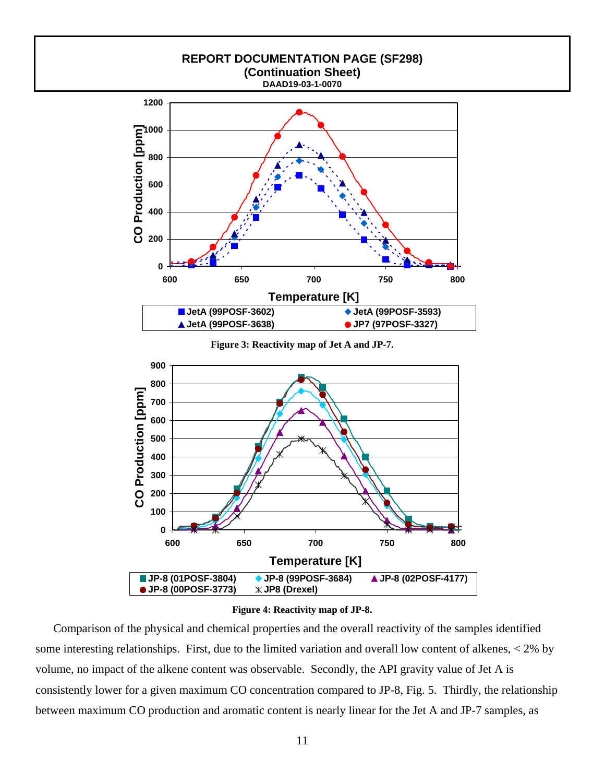

#### **Figure 4: Reactivity map of JP-8.**

Comparison of the physical and chemical properties and the overall reactivity of the samples identified some interesting relationships. First, due to the limited variation and overall low content of alkenes, < 2% by volume, no impact of the alkene content was observable. Secondly, the API gravity value of Jet A is consistently lower for a given maximum CO concentration compared to JP-8, Fig. 5. Thirdly, the relationship between maximum CO production and aromatic content is nearly linear for the Jet A and JP-7 samples, as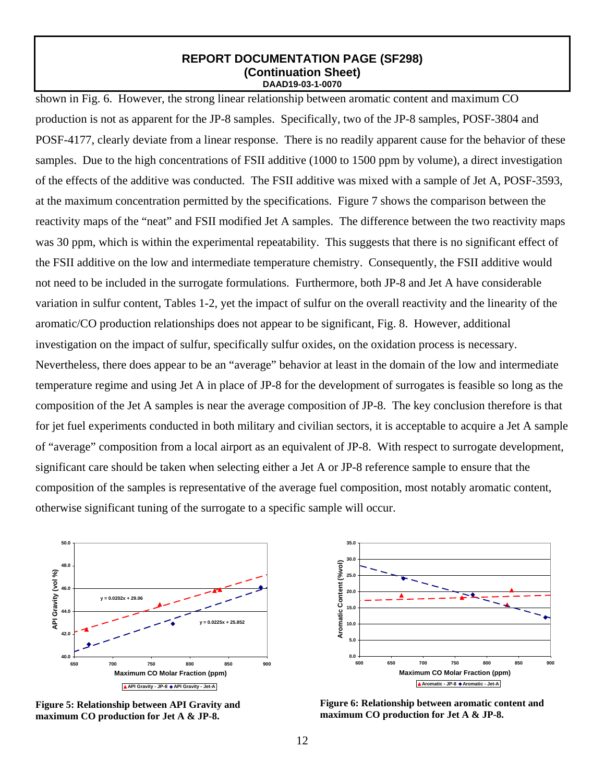shown in Fig. 6. However, the strong linear relationship between aromatic content and maximum CO production is not as apparent for the JP-8 samples. Specifically, two of the JP-8 samples, POSF-3804 and POSF-4177, clearly deviate from a linear response. There is no readily apparent cause for the behavior of these samples. Due to the high concentrations of FSII additive (1000 to 1500 ppm by volume), a direct investigation of the effects of the additive was conducted. The FSII additive was mixed with a sample of Jet A, POSF-3593, at the maximum concentration permitted by the specifications. Figure 7 shows the comparison between the reactivity maps of the "neat" and FSII modified Jet A samples. The difference between the two reactivity maps was 30 ppm, which is within the experimental repeatability. This suggests that there is no significant effect of the FSII additive on the low and intermediate temperature chemistry. Consequently, the FSII additive would not need to be included in the surrogate formulations. Furthermore, both JP-8 and Jet A have considerable variation in sulfur content, Tables 1-2, yet the impact of sulfur on the overall reactivity and the linearity of the aromatic/CO production relationships does not appear to be significant, Fig. 8. However, additional investigation on the impact of sulfur, specifically sulfur oxides, on the oxidation process is necessary. Nevertheless, there does appear to be an "average" behavior at least in the domain of the low and intermediate temperature regime and using Jet A in place of JP-8 for the development of surrogates is feasible so long as the composition of the Jet A samples is near the average composition of JP-8. The key conclusion therefore is that for jet fuel experiments conducted in both military and civilian sectors, it is acceptable to acquire a Jet A sample of "average" composition from a local airport as an equivalent of JP-8. With respect to surrogate development, significant care should be taken when selecting either a Jet A or JP-8 reference sample to ensure that the composition of the samples is representative of the average fuel composition, most notably aromatic content, otherwise significant tuning of the surrogate to a specific sample will occur.



**Figure 5: Relationship between API Gravity and maximum CO production for Jet A & JP-8.** 



**Figure 6: Relationship between aromatic content and maximum CO production for Jet A & JP-8.**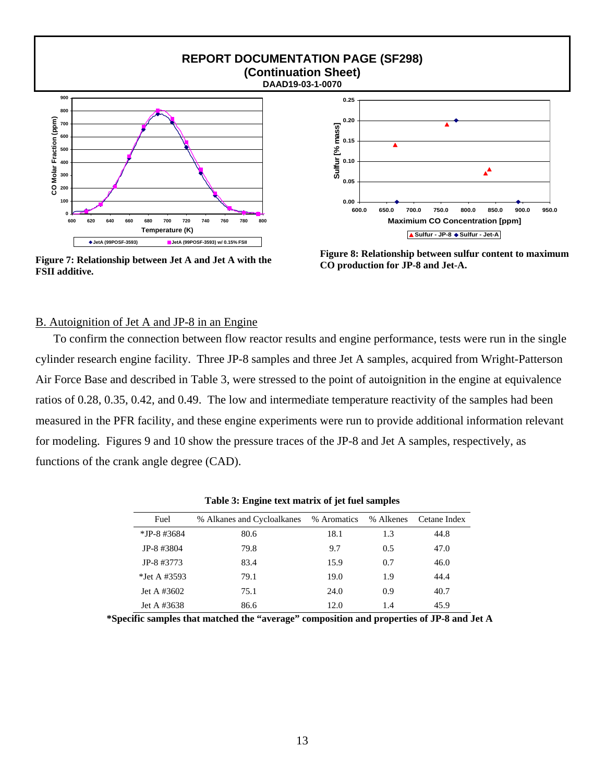

**Figure 7: Relationship between Jet A and Jet A with the FSII additive.** 



**Figure 8: Relationship between sulfur content to maximum CO production for JP-8 and Jet-A.** 

## B. Autoignition of Jet A and JP-8 in an Engine

To confirm the connection between flow reactor results and engine performance, tests were run in the single cylinder research engine facility. Three JP-8 samples and three Jet A samples, acquired from Wright-Patterson Air Force Base and described in Table 3, were stressed to the point of autoignition in the engine at equivalence ratios of 0.28, 0.35, 0.42, and 0.49. The low and intermediate temperature reactivity of the samples had been measured in the PFR facility, and these engine experiments were run to provide additional information relevant for modeling. Figures 9 and 10 show the pressure traces of the JP-8 and Jet A samples, respectively, as functions of the crank angle degree (CAD).

| Fuel           | % Alkanes and Cycloalkanes | % Aromatics | % Alkenes | Cetane Index |
|----------------|----------------------------|-------------|-----------|--------------|
| $*$ JP-8 #3684 | 80.6                       | 18.1        | 1.3       | 44.8         |
| JP-8 #3804     | 79.8                       | 9.7         | 0.5       | 47.0         |
| JP-8 #3773     | 83.4                       | 15.9        | 0.7       | 46.0         |
| *Jet A #3593   | 79.1                       | 19.0        | 1.9       | 44.4         |
| Jet A $#3602$  | 75.1                       | 24.0        | 0.9       | 40.7         |
| Jet A #3638    | 86.6                       | 12.0        | 1.4       | 45.9         |

**Table 3: Engine text matrix of jet fuel samples** 

**\*Specific samples that matched the "average" composition and properties of JP-8 and Jet A**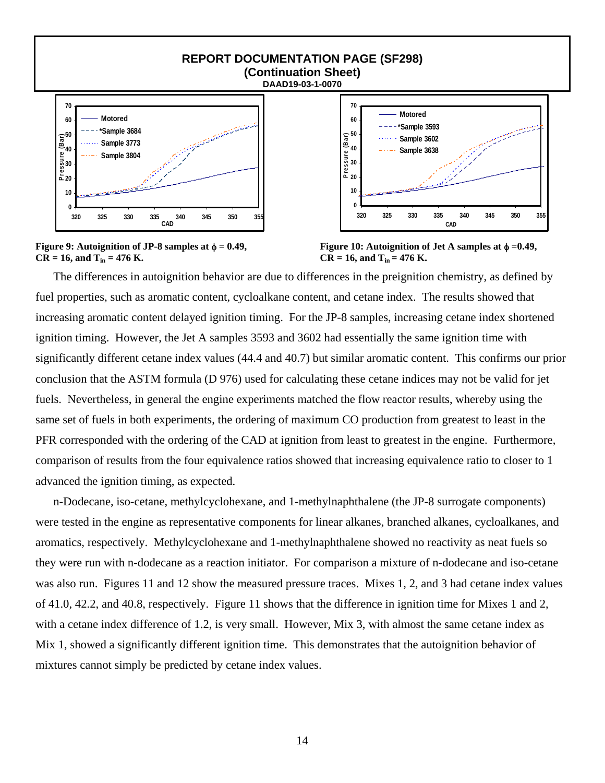

**Figure 9:** Autoignition of JP-8 samples at  $\phi = 0.49$ ,  $CR = 16$ , and  $T_{in} = 476$  K.



**Figure 10: Autoignition of Jet A samples at** φ **=0.49,**   $CR = 16$ , and  $T_{in} = 476$  K.

The differences in autoignition behavior are due to differences in the preignition chemistry, as defined by fuel properties, such as aromatic content, cycloalkane content, and cetane index. The results showed that increasing aromatic content delayed ignition timing. For the JP-8 samples, increasing cetane index shortened ignition timing. However, the Jet A samples 3593 and 3602 had essentially the same ignition time with significantly different cetane index values (44.4 and 40.7) but similar aromatic content. This confirms our prior conclusion that the ASTM formula (D 976) used for calculating these cetane indices may not be valid for jet fuels. Nevertheless, in general the engine experiments matched the flow reactor results, whereby using the same set of fuels in both experiments, the ordering of maximum CO production from greatest to least in the PFR corresponded with the ordering of the CAD at ignition from least to greatest in the engine. Furthermore, comparison of results from the four equivalence ratios showed that increasing equivalence ratio to closer to 1 advanced the ignition timing, as expected.

n-Dodecane, iso-cetane, methylcyclohexane, and 1-methylnaphthalene (the JP-8 surrogate components) were tested in the engine as representative components for linear alkanes, branched alkanes, cycloalkanes, and aromatics, respectively. Methylcyclohexane and 1-methylnaphthalene showed no reactivity as neat fuels so they were run with n-dodecane as a reaction initiator. For comparison a mixture of n-dodecane and iso-cetane was also run. Figures 11 and 12 show the measured pressure traces. Mixes 1, 2, and 3 had cetane index values of 41.0, 42.2, and 40.8, respectively. Figure 11 shows that the difference in ignition time for Mixes 1 and 2, with a cetane index difference of 1.2, is very small. However, Mix 3, with almost the same cetane index as Mix 1, showed a significantly different ignition time. This demonstrates that the autoignition behavior of mixtures cannot simply be predicted by cetane index values.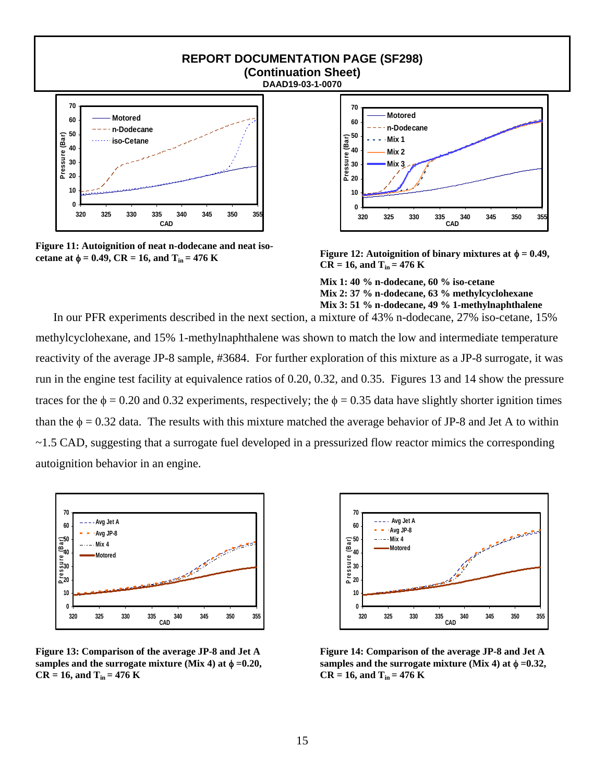

**Figure 11: Autoignition of neat n-dodecane and neat isocetane at**  $φ = 0.49$ **, CR = 16, and T<sub>in</sub> = 476 K** 



**Figure 12:** Autoignition of binary mixtures at  $\phi = 0.49$ ,  $CR = 16$ , and  $T_{in} = 476$  K

**Mix 1: 40 % n-dodecane, 60 % iso-cetane Mix 2: 37 % n-dodecane, 63 % methylcyclohexane Mix 3: 51 % n-dodecane, 49 % 1-methylnaphthalene** 

In our PFR experiments described in the next section, a mixture of 43% n-dodecane, 27% iso-cetane, 15% methylcyclohexane, and 15% 1-methylnaphthalene was shown to match the low and intermediate temperature reactivity of the average JP-8 sample, #3684. For further exploration of this mixture as a JP-8 surrogate, it was run in the engine test facility at equivalence ratios of 0.20, 0.32, and 0.35. Figures 13 and 14 show the pressure traces for the  $\phi = 0.20$  and 0.32 experiments, respectively; the  $\phi = 0.35$  data have slightly shorter ignition times than the  $\phi = 0.32$  data. The results with this mixture matched the average behavior of JP-8 and Jet A to within ~1.5 CAD, suggesting that a surrogate fuel developed in a pressurized flow reactor mimics the corresponding autoignition behavior in an engine.



**Figure 13: Comparison of the average JP-8 and Jet A**  samples and the surrogate mixture (Mix 4) at  $\phi = 0.20$ ,  $CR = 16$ , and  $T_{in} = 476$  K



**Figure 14: Comparison of the average JP-8 and Jet A**  samples and the surrogate mixture (Mix 4) at  $\phi = 0.32$ ,  $CR = 16$ , and  $T_{in} = 476$  K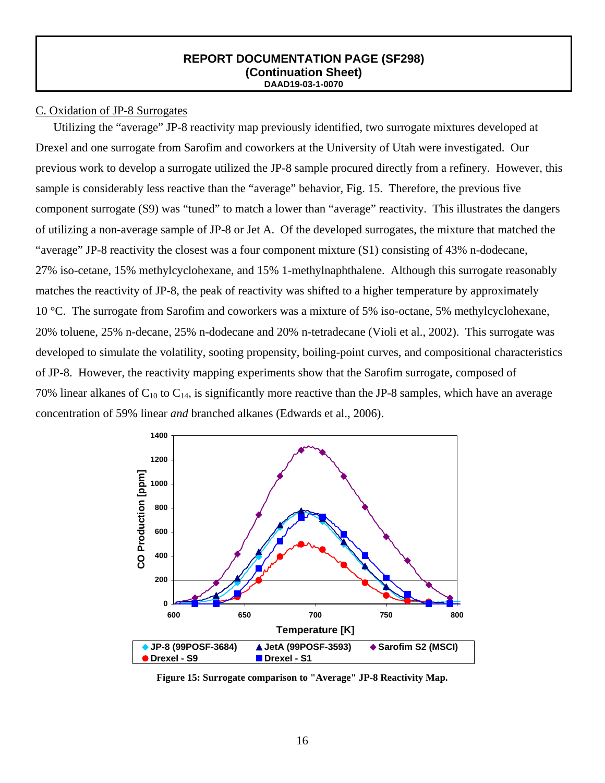## C. Oxidation of JP-8 Surrogates

Utilizing the "average" JP-8 reactivity map previously identified, two surrogate mixtures developed at Drexel and one surrogate from Sarofim and coworkers at the University of Utah were investigated. Our previous work to develop a surrogate utilized the JP-8 sample procured directly from a refinery. However, this sample is considerably less reactive than the "average" behavior, Fig. 15. Therefore, the previous five component surrogate (S9) was "tuned" to match a lower than "average" reactivity. This illustrates the dangers of utilizing a non-average sample of JP-8 or Jet A. Of the developed surrogates, the mixture that matched the "average" JP-8 reactivity the closest was a four component mixture (S1) consisting of 43% n-dodecane, 27% iso-cetane, 15% methylcyclohexane, and 15% 1-methylnaphthalene. Although this surrogate reasonably matches the reactivity of JP-8, the peak of reactivity was shifted to a higher temperature by approximately 10 °C. The surrogate from Sarofim and coworkers was a mixture of 5% iso-octane, 5% methylcyclohexane, 20% toluene, 25% n-decane, 25% n-dodecane and 20% n-tetradecane (Violi et al., 2002). This surrogate was developed to simulate the volatility, sooting propensity, boiling-point curves, and compositional characteristics of JP-8. However, the reactivity mapping experiments show that the Sarofim surrogate, composed of 70% linear alkanes of  $C_{10}$  to  $C_{14}$ , is significantly more reactive than the JP-8 samples, which have an average concentration of 59% linear *and* branched alkanes (Edwards et al., 2006).



**Figure 15: Surrogate comparison to "Average" JP-8 Reactivity Map.**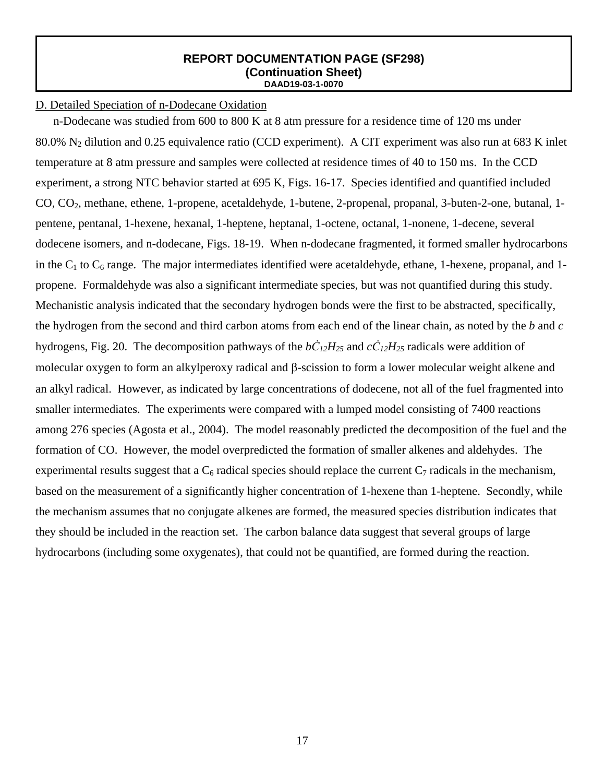## D. Detailed Speciation of n-Dodecane Oxidation

n-Dodecane was studied from 600 to 800 K at 8 atm pressure for a residence time of 120 ms under 80.0% N2 dilution and 0.25 equivalence ratio (CCD experiment). A CIT experiment was also run at 683 K inlet temperature at 8 atm pressure and samples were collected at residence times of 40 to 150 ms. In the CCD experiment, a strong NTC behavior started at 695 K, Figs. 16-17. Species identified and quantified included CO, CO2, methane, ethene, 1-propene, acetaldehyde, 1-butene, 2-propenal, propanal, 3-buten-2-one, butanal, 1 pentene, pentanal, 1-hexene, hexanal, 1-heptene, heptanal, 1-octene, octanal, 1-nonene, 1-decene, several dodecene isomers, and n-dodecane, Figs. 18-19. When n-dodecane fragmented, it formed smaller hydrocarbons in the  $C_1$  to  $C_6$  range. The major intermediates identified were acetaldehyde, ethane, 1-hexene, propanal, and 1propene. Formaldehyde was also a significant intermediate species, but was not quantified during this study. Mechanistic analysis indicated that the secondary hydrogen bonds were the first to be abstracted, specifically, the hydrogen from the second and third carbon atoms from each end of the linear chain, as noted by the *b* and *c* hydrogens, Fig. 20. The decomposition pathways of the  $b\dot{C}_{12}H_{25}$  and  $c\dot{C}_{12}H_{25}$  radicals were addition of molecular oxygen to form an alkylperoxy radical and β-scission to form a lower molecular weight alkene and an alkyl radical. However, as indicated by large concentrations of dodecene, not all of the fuel fragmented into smaller intermediates. The experiments were compared with a lumped model consisting of 7400 reactions among 276 species (Agosta et al., 2004). The model reasonably predicted the decomposition of the fuel and the formation of CO. However, the model overpredicted the formation of smaller alkenes and aldehydes. The experimental results suggest that a  $C_6$  radical species should replace the current  $C_7$  radicals in the mechanism, based on the measurement of a significantly higher concentration of 1-hexene than 1-heptene. Secondly, while the mechanism assumes that no conjugate alkenes are formed, the measured species distribution indicates that they should be included in the reaction set. The carbon balance data suggest that several groups of large hydrocarbons (including some oxygenates), that could not be quantified, are formed during the reaction.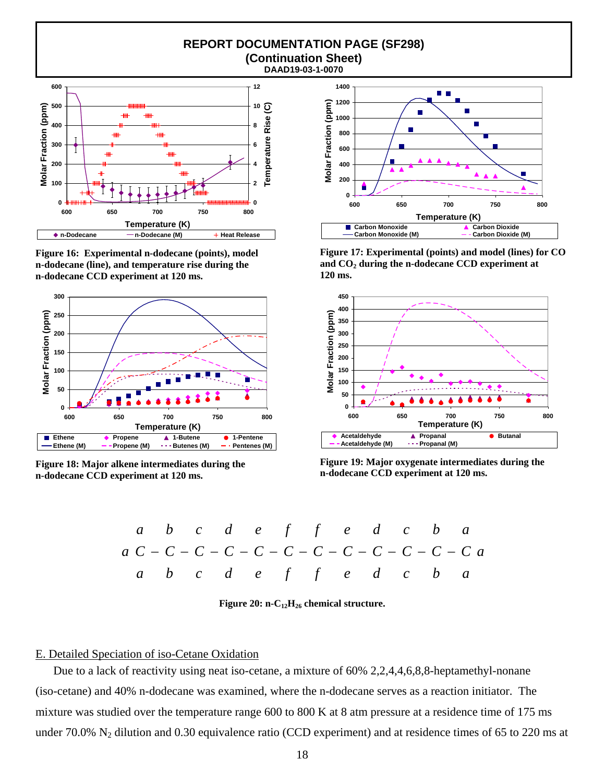

**Figure 16: Experimental n-dodecane (points), model n-dodecane (line), and temperature rise during the n-dodecane CCD experiment at 120 ms.** 



**Figure 18: Major alkene intermediates during the n-dodecane CCD experiment at 120 ms.** 



**Figure 17: Experimental (points) and model (lines) for CO**  and CO<sub>2</sub> during the n-dodecane CCD experiment at **120 ms.** 



**Figure 19: Major oxygenate intermediates during the n-dodecane CCD experiment at 120 ms.**

| $a$ | $b$ | $c$ | $d$ | $e$ | $f$ | $f$ | $e$ | $d$ | $c$ | $b$ | $a$ |     |     |     |     |     |     |     |     |     |     |     |     |     |     |     |     |     |     |     |     |     |     |     |     |     |     |     |     |     |     |     |     |     |     |     |     |     |     |     |     |     |     |     |     |     |     |     |     |     |     |     |
|-----|-----|-----|-----|-----|-----|-----|-----|-----|-----|-----|-----|-----|-----|-----|-----|-----|-----|-----|-----|-----|-----|-----|-----|-----|-----|-----|-----|-----|-----|-----|-----|-----|-----|-----|-----|-----|-----|-----|-----|-----|-----|-----|-----|-----|-----|-----|-----|-----|-----|-----|-----|-----|-----|-----|-----|-----|-----|-----|-----|-----|-----|-----|
| $a$ | $C$ | $C$ | $C$ | $C$ | $C$ | $C$ | $C$ | $C$ | $C$ | $C$ | $C$ | $C$ | $C$ | $C$ | $C$ | $C$ | $C$ | $C$ | $C$ | $C$ | $C$ | $C$ | $C$ | $C$ | $C$ | $C$ | $C$ | $C$ | $C$ | $C$ | $C$ | $C$ | $C$ | $C$ | $C$ | $C$ | $C$ | $C$ | $C$ | $C$ | $C$ | $C$ | $C$ | $C$ | $C$ | $C$ | $C$ | $C$ | $C$ | $C$ | $C$ | $C$ | $C$ | $C$ | $C$ | $C$ | $C$ | $C$ | $C$ | $C$ | $C$ | $C$ |

Figure 20: n-C<sub>12</sub>H<sub>26</sub> chemical structure.

## E. Detailed Speciation of iso-Cetane Oxidation

Due to a lack of reactivity using neat iso-cetane, a mixture of 60% 2,2,4,4,6,8,8-heptamethyl-nonane (iso-cetane) and 40% n-dodecane was examined, where the n-dodecane serves as a reaction initiator. The mixture was studied over the temperature range 600 to 800 K at 8 atm pressure at a residence time of 175 ms under 70.0%  $N_2$  dilution and 0.30 equivalence ratio (CCD experiment) and at residence times of 65 to 220 ms at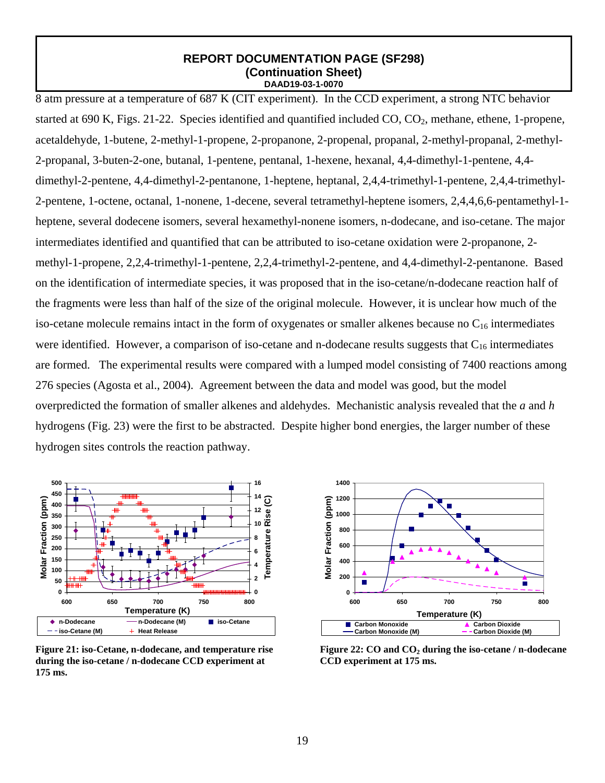8 atm pressure at a temperature of 687 K (CIT experiment). In the CCD experiment, a strong NTC behavior started at 690 K, Figs. 21-22. Species identified and quantified included  $CO$ ,  $CO<sub>2</sub>$ , methane, ethene, 1-propene, acetaldehyde, 1-butene, 2-methyl-1-propene, 2-propanone, 2-propenal, propanal, 2-methyl-propanal, 2-methyl-2-propanal, 3-buten-2-one, butanal, 1-pentene, pentanal, 1-hexene, hexanal, 4,4-dimethyl-1-pentene, 4,4 dimethyl-2-pentene, 4,4-dimethyl-2-pentanone, 1-heptene, heptanal, 2,4,4-trimethyl-1-pentene, 2,4,4-trimethyl-2-pentene, 1-octene, octanal, 1-nonene, 1-decene, several tetramethyl-heptene isomers, 2,4,4,6,6-pentamethyl-1 heptene, several dodecene isomers, several hexamethyl-nonene isomers, n-dodecane, and iso-cetane. The major intermediates identified and quantified that can be attributed to iso-cetane oxidation were 2-propanone, 2 methyl-1-propene, 2,2,4-trimethyl-1-pentene, 2,2,4-trimethyl-2-pentene, and 4,4-dimethyl-2-pentanone. Based on the identification of intermediate species, it was proposed that in the iso-cetane/n-dodecane reaction half of the fragments were less than half of the size of the original molecule. However, it is unclear how much of the iso-cetane molecule remains intact in the form of oxygenates or smaller alkenes because no  $C_{16}$  intermediates were identified. However, a comparison of iso-cetane and n-dodecane results suggests that  $C_{16}$  intermediates are formed. The experimental results were compared with a lumped model consisting of 7400 reactions among 276 species (Agosta et al., 2004). Agreement between the data and model was good, but the model overpredicted the formation of smaller alkenes and aldehydes. Mechanistic analysis revealed that the *a* and *h* hydrogens (Fig. 23) were the first to be abstracted. Despite higher bond energies, the larger number of these hydrogen sites controls the reaction pathway.



**Figure 21: iso-Cetane, n-dodecane, and temperature rise during the iso-cetane / n-dodecane CCD experiment at 175 ms.** 



Figure 22: CO and CO<sub>2</sub> during the iso-cetane / n-dodecane **CCD experiment at 175 ms.**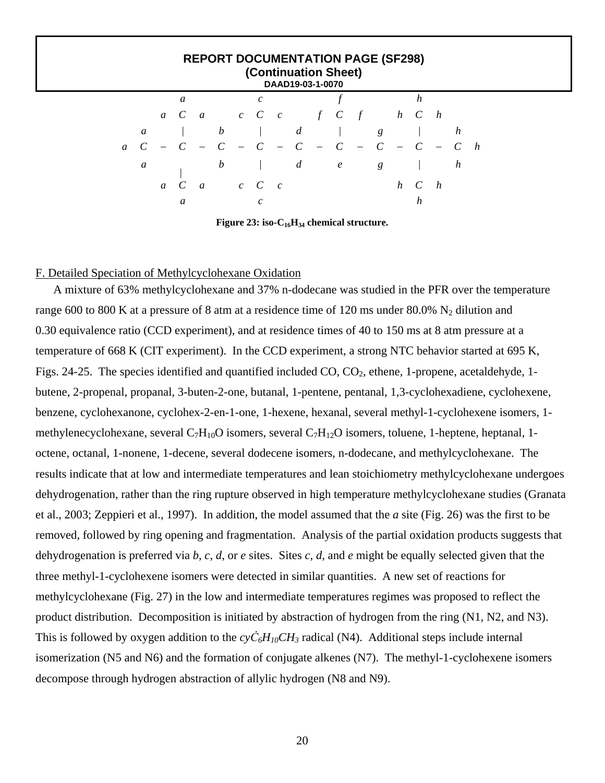|                | <b>REPORT DOCUMENTATION PAGE (SF298)</b><br>(Continuation Sheet)<br>DAAD19-03-1-0070 |  |               |                |               |  |                     |  |                |       |                                      |       |   |   |                |       |   |   |
|----------------|--------------------------------------------------------------------------------------|--|---------------|----------------|---------------|--|---------------------|--|----------------|-------|--------------------------------------|-------|---|---|----------------|-------|---|---|
|                |                                                                                      |  | a             |                |               |  | C                   |  |                |       |                                      |       |   |   | h              |       |   |   |
|                |                                                                                      |  | $a \quad C$   |                | $a$ c C c     |  |                     |  |                |       | $f \quad C \quad f \qquad h \quad C$ |       |   |   |                | h     |   |   |
|                | $\mathfrak a$                                                                        |  |               |                | b             |  |                     |  | $\overline{d}$ |       |                                      |       | g |   |                |       | h |   |
| $\mathfrak{a}$ |                                                                                      |  |               |                | $\mathcal{C}$ |  | $- C - C$           |  |                | $-$ C |                                      | $-$ C |   |   | $\overline{C}$ | $- C$ |   | h |
|                | a                                                                                    |  |               |                | b             |  |                     |  | d              |       | $\ell$                               |       | g |   |                |       | h |   |
|                |                                                                                      |  | $a \quad C$   | $\overline{a}$ |               |  | $c \quad C \quad c$ |  |                |       |                                      |       |   | h | C              | h     |   |   |
|                |                                                                                      |  | $\mathfrak a$ |                |               |  | $\mathcal{C}$       |  |                |       |                                      |       |   |   |                |       |   |   |

Figure 23: iso-C<sub>16</sub>H<sub>34</sub> chemical structure.

## F. Detailed Speciation of Methylcyclohexane Oxidation

A mixture of 63% methylcyclohexane and 37% n-dodecane was studied in the PFR over the temperature range 600 to 800 K at a pressure of 8 atm at a residence time of 120 ms under 80.0%  $N_2$  dilution and 0.30 equivalence ratio (CCD experiment), and at residence times of 40 to 150 ms at 8 atm pressure at a temperature of 668 K (CIT experiment). In the CCD experiment, a strong NTC behavior started at 695 K, Figs. 24-25. The species identified and quantified included CO, CO<sub>2</sub>, ethene, 1-propene, acetaldehyde, 1butene, 2-propenal, propanal, 3-buten-2-one, butanal, 1-pentene, pentanal, 1,3-cyclohexadiene, cyclohexene, benzene, cyclohexanone, cyclohex-2-en-1-one, 1-hexene, hexanal, several methyl-1-cyclohexene isomers, 1 methylenecyclohexane, several C<sub>7</sub>H<sub>10</sub>O isomers, several C<sub>7</sub>H<sub>12</sub>O isomers, toluene, 1-heptene, heptanal, 1octene, octanal, 1-nonene, 1-decene, several dodecene isomers, n-dodecane, and methylcyclohexane. The results indicate that at low and intermediate temperatures and lean stoichiometry methylcyclohexane undergoes dehydrogenation, rather than the ring rupture observed in high temperature methylcyclohexane studies (Granata et al., 2003; Zeppieri et al., 1997). In addition, the model assumed that the *a* site (Fig. 26) was the first to be removed, followed by ring opening and fragmentation. Analysis of the partial oxidation products suggests that dehydrogenation is preferred via *b*, *c*, *d*, or *e* sites. Sites *c*, *d*, and *e* might be equally selected given that the three methyl-1-cyclohexene isomers were detected in similar quantities. A new set of reactions for methylcyclohexane (Fig. 27) in the low and intermediate temperatures regimes was proposed to reflect the product distribution. Decomposition is initiated by abstraction of hydrogen from the ring (N1, N2, and N3). This is followed by oxygen addition to the  $\frac{c}{c}H_{10}CH_3$  radical (N4). Additional steps include internal isomerization (N5 and N6) and the formation of conjugate alkenes (N7). The methyl-1-cyclohexene isomers decompose through hydrogen abstraction of allylic hydrogen (N8 and N9).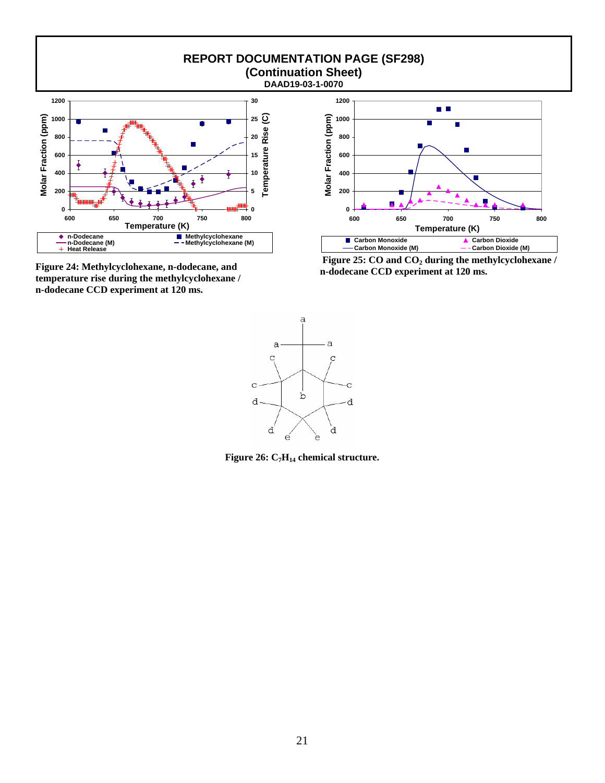

**Figure 24: Methylcyclohexane, n-dodecane, and temperature rise during the methylcyclohexane / n-dodecane CCD experiment at 120 ms.**



Figure 25: CO and CO<sub>2</sub> during the methylcyclohexane / **n-dodecane CCD experiment at 120 ms.**



Figure 26: C<sub>7</sub>H<sub>14</sub> chemical structure.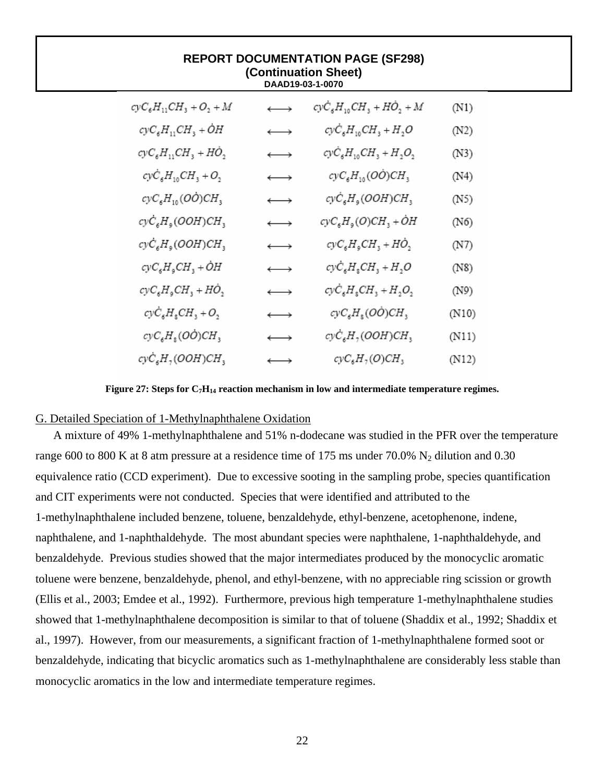| <b>REPORT DOCUMENTATION PAGE (SF298)</b><br>(Continuation Sheet)<br>DAAD19-03-1-0070 |                       |                                                      |       |  |  |  |  |  |
|--------------------------------------------------------------------------------------|-----------------------|------------------------------------------------------|-------|--|--|--|--|--|
| $cyc_{6}H_{11}CH_{3} + O_{2} + M$                                                    | $\longleftrightarrow$ | $cyc_{6}H_{10}CH_{3} + H\dot{O}_{2} + M$             | (N1)  |  |  |  |  |  |
| $cyc_{6}H_{11}CH_{3} + \dot{O}H$                                                     | $\longleftrightarrow$ | $cyc_{6}H_{10}CH_{3} + H_{2}O$                       | (N2)  |  |  |  |  |  |
| $cyc_{6}H_{11}CH_{3} + H\dot{O}_{2}$                                                 | $\longleftrightarrow$ | $cy\dot{C}_6H_{10}CH_3 + H_2O_2$                     | (N3)  |  |  |  |  |  |
| $cyc_{6}H_{10}CH_{3} + O_{2}$                                                        | $\longleftrightarrow$ | $cyc_{6}H_{10}(O\dot{O})CH_{3}$                      | (N4)  |  |  |  |  |  |
| $cyc_{6}H_{10}(O\dot{O})CH_{3}$                                                      | $\longleftrightarrow$ | cyC <sub>6</sub> H <sub>9</sub> (OOH)CH <sub>3</sub> | (N5)  |  |  |  |  |  |
| $cyc_{6}H_{9}(OOH)CH_{3}$                                                            | $\longleftrightarrow$ | $cyc_{\delta}H_{\varphi}(O)CH_{\varphi} + OH$        | (N6)  |  |  |  |  |  |
| $cyc_{\epsilon}H_{\epsilon} (OOH)CH_{\epsilon}$                                      | $\longleftrightarrow$ | $cyc_{6}H_{9}CH_{3} + H\dot{O}_{2}$                  | (N7)  |  |  |  |  |  |
| $cyc_{6}H_{9}CH_{3} + OH$                                                            | $\longleftrightarrow$ | $cyc_{6}H_{8}CH_{3} + H_{2}O$                        | (N8)  |  |  |  |  |  |
| $cyc_{6}H_{9}CH_{3} + HO_{2}$                                                        | $\longleftrightarrow$ | $cyc_{6}H_{8}CH_{3} + H_{2}O_{2}$                    | (N9)  |  |  |  |  |  |
| $cyc_{6}H_{8}CH_{3}+O_{2}$                                                           | $\longleftrightarrow$ | $cyc_{6}H_{8}(O\dot{O})CH_{3}$                       | (N10) |  |  |  |  |  |
| $cyc_{\epsilon}H_{\epsilon}(O\dot{O})CH_{\epsilon}$                                  | $\longleftrightarrow$ | $cyc_{6}H_{7}(OOH)CH_{3}$                            | (N11) |  |  |  |  |  |
| $cyc_{s}H_{7}(OOH)CH_{3}$                                                            | $\longleftrightarrow$ | $cyc_{6}H_{7}(O)CH_{3}$                              | (N12) |  |  |  |  |  |

Figure 27: Steps for C<sub>7</sub>H<sub>14</sub> reaction mechanism in low and intermediate temperature regimes.

## G. Detailed Speciation of 1-Methylnaphthalene Oxidation

A mixture of 49% 1-methylnaphthalene and 51% n-dodecane was studied in the PFR over the temperature range 600 to 800 K at 8 atm pressure at a residence time of 175 ms under 70.0%  $N_2$  dilution and 0.30 equivalence ratio (CCD experiment). Due to excessive sooting in the sampling probe, species quantification and CIT experiments were not conducted. Species that were identified and attributed to the 1-methylnaphthalene included benzene, toluene, benzaldehyde, ethyl-benzene, acetophenone, indene, naphthalene, and 1-naphthaldehyde. The most abundant species were naphthalene, 1-naphthaldehyde, and benzaldehyde. Previous studies showed that the major intermediates produced by the monocyclic aromatic toluene were benzene, benzaldehyde, phenol, and ethyl-benzene, with no appreciable ring scission or growth (Ellis et al., 2003; Emdee et al., 1992). Furthermore, previous high temperature 1-methylnaphthalene studies showed that 1-methylnaphthalene decomposition is similar to that of toluene (Shaddix et al., 1992; Shaddix et al., 1997). However, from our measurements, a significant fraction of 1-methylnaphthalene formed soot or benzaldehyde, indicating that bicyclic aromatics such as 1-methylnaphthalene are considerably less stable than monocyclic aromatics in the low and intermediate temperature regimes.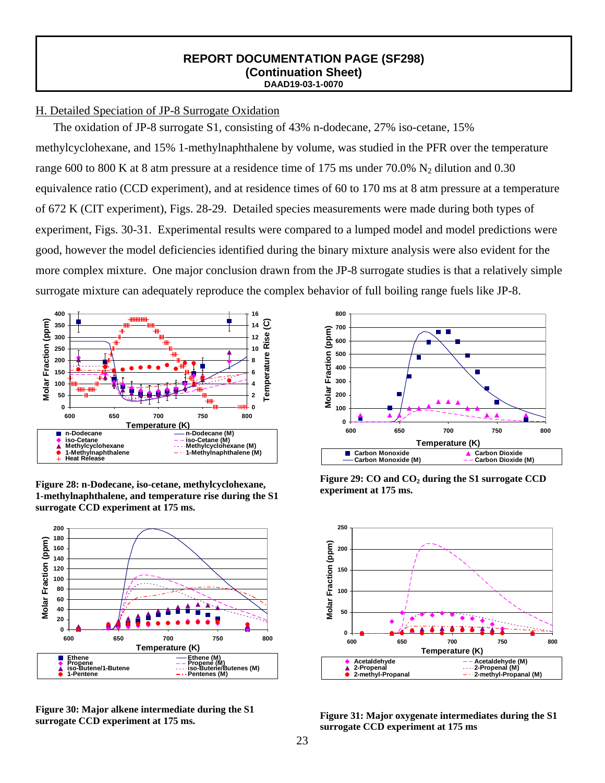## H. Detailed Speciation of JP-8 Surrogate Oxidation

The oxidation of JP-8 surrogate S1, consisting of 43% n-dodecane, 27% iso-cetane, 15% methylcyclohexane, and 15% 1-methylnaphthalene by volume, was studied in the PFR over the temperature range 600 to 800 K at 8 atm pressure at a residence time of 175 ms under 70.0%  $N_2$  dilution and 0.30 equivalence ratio (CCD experiment), and at residence times of 60 to 170 ms at 8 atm pressure at a temperature of 672 K (CIT experiment), Figs. 28-29. Detailed species measurements were made during both types of experiment, Figs. 30-31. Experimental results were compared to a lumped model and model predictions were good, however the model deficiencies identified during the binary mixture analysis were also evident for the more complex mixture. One major conclusion drawn from the JP-8 surrogate studies is that a relatively simple surrogate mixture can adequately reproduce the complex behavior of full boiling range fuels like JP-8.



**Figure 28: n-Dodecane, iso-cetane, methylcyclohexane, 1-methylnaphthalene, and temperature rise during the S1 surrogate CCD experiment at 175 ms.** 



**Figure 30: Major alkene intermediate during the S1** 



Figure 29: CO and CO<sub>2</sub> during the S1 surrogate CCD **experiment at 175 ms.**



**surrogate CCD experiment at 175 ms. Figure 31: Major oxygenate intermediates during the S1 Figure 31:** Major oxygenate intermediates during the S1 **surrogate CCD experiment at 175 ms**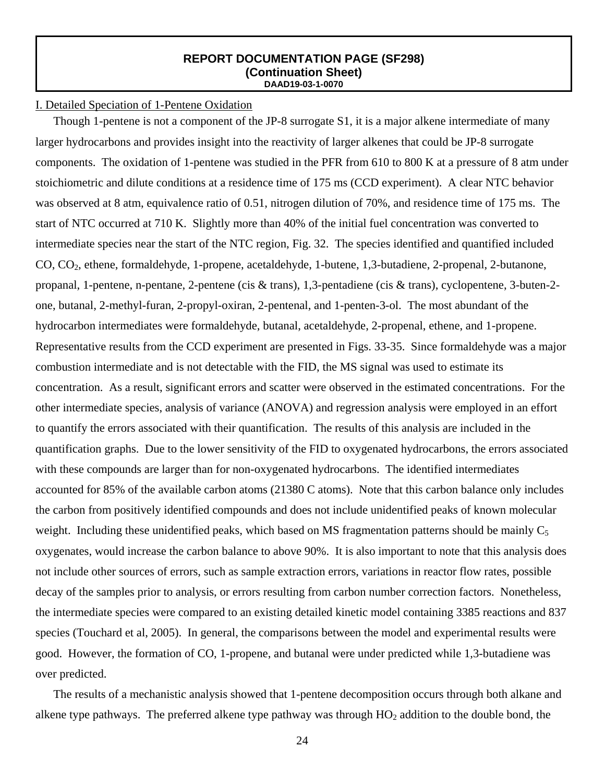## I. Detailed Speciation of 1-Pentene Oxidation

Though 1-pentene is not a component of the JP-8 surrogate S1, it is a major alkene intermediate of many larger hydrocarbons and provides insight into the reactivity of larger alkenes that could be JP-8 surrogate components. The oxidation of 1-pentene was studied in the PFR from 610 to 800 K at a pressure of 8 atm under stoichiometric and dilute conditions at a residence time of 175 ms (CCD experiment). A clear NTC behavior was observed at 8 atm, equivalence ratio of 0.51, nitrogen dilution of 70%, and residence time of 175 ms. The start of NTC occurred at 710 K. Slightly more than 40% of the initial fuel concentration was converted to intermediate species near the start of the NTC region, Fig. 32. The species identified and quantified included CO, CO2, ethene, formaldehyde, 1-propene, acetaldehyde, 1-butene, 1,3-butadiene, 2-propenal, 2-butanone, propanal, 1-pentene, n-pentane, 2-pentene (cis & trans), 1,3-pentadiene (cis & trans), cyclopentene, 3-buten-2 one, butanal, 2-methyl-furan, 2-propyl-oxiran, 2-pentenal, and 1-penten-3-ol. The most abundant of the hydrocarbon intermediates were formaldehyde, butanal, acetaldehyde, 2-propenal, ethene, and 1-propene. Representative results from the CCD experiment are presented in Figs. 33-35. Since formaldehyde was a major combustion intermediate and is not detectable with the FID, the MS signal was used to estimate its concentration. As a result, significant errors and scatter were observed in the estimated concentrations. For the other intermediate species, analysis of variance (ANOVA) and regression analysis were employed in an effort to quantify the errors associated with their quantification. The results of this analysis are included in the quantification graphs. Due to the lower sensitivity of the FID to oxygenated hydrocarbons, the errors associated with these compounds are larger than for non-oxygenated hydrocarbons. The identified intermediates accounted for 85% of the available carbon atoms (21380 C atoms). Note that this carbon balance only includes the carbon from positively identified compounds and does not include unidentified peaks of known molecular weight. Including these unidentified peaks, which based on MS fragmentation patterns should be mainly  $C_5$ oxygenates, would increase the carbon balance to above 90%. It is also important to note that this analysis does not include other sources of errors, such as sample extraction errors, variations in reactor flow rates, possible decay of the samples prior to analysis, or errors resulting from carbon number correction factors. Nonetheless, the intermediate species were compared to an existing detailed kinetic model containing 3385 reactions and 837 species (Touchard et al, 2005). In general, the comparisons between the model and experimental results were good. However, the formation of CO, 1-propene, and butanal were under predicted while 1,3-butadiene was over predicted.

The results of a mechanistic analysis showed that 1-pentene decomposition occurs through both alkane and alkene type pathways. The preferred alkene type pathway was through  $HO<sub>2</sub>$  addition to the double bond, the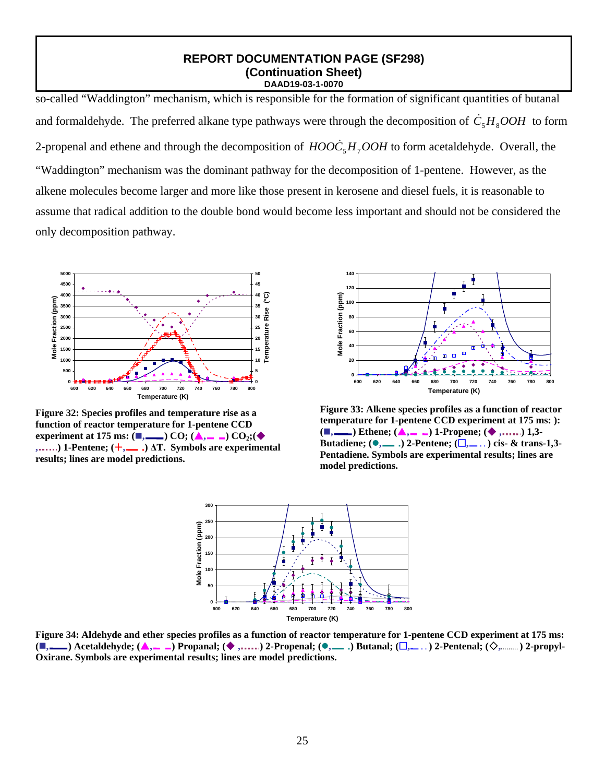so-called "Waddington" mechanism, which is responsible for the formation of significant quantities of butanal and formaldehyde. The preferred alkane type pathways were through the decomposition of  $\dot{C}_5H_8OOH$  to form 2-propenal and ethene and through the decomposition of  $HOOC<sub>5</sub>H<sub>7</sub>OOH$  to form acetaldehyde. Overall, the "Waddington" mechanism was the dominant pathway for the decomposition of 1-pentene. However, as the alkene molecules become larger and more like those present in kerosene and diesel fuels, it is reasonable to assume that radical addition to the double bond would become less important and should not be considered the only decomposition pathway.



**Figure 32: Species profiles and temperature rise as a function of reactor temperature for 1-pentene CCD experiment at 175 ms:**  $(\blacksquare, \blacksquare)$  CO;  $(\blacktriangle, \blacksquare)$  CO<sub>2</sub>; $(\blacklozenge)$  $, \ldots$ ) **1-Pentene;**  $(\dagger, \ldots)$   $\Delta$ **T.** Symbols are experimental **results; lines are model predictions.** 



**Figure 33: Alkene species profiles as a function of reactor temperature for 1-pentene CCD experiment at 175 ms: ): (■, )** Ethene; **(▲, )** 1-Propene; (◆, ......) 1,3-**Butadiene; (** $\bullet$ **,**  $\_\_\_\$ **)** 2-Pentene; ( $\Box$ ,  $\_\_\_\$ ) cis- & trans-1,3-**Pentadiene. Symbols are experimental results; lines are model predictions.**



**Figure 34: Aldehyde and ether species profiles as a function of reactor temperature for 1-pentene CCD experiment at 175 ms: (■,...........)** Acetaldehyde; (▲,.......) Propanal; (◆,.......) 2-Propenal; (●,.......) Butanal; (□,......) 2-Pentenal; (◇,............) 2-propyl-**Oxirane. Symbols are experimental results; lines are model predictions.**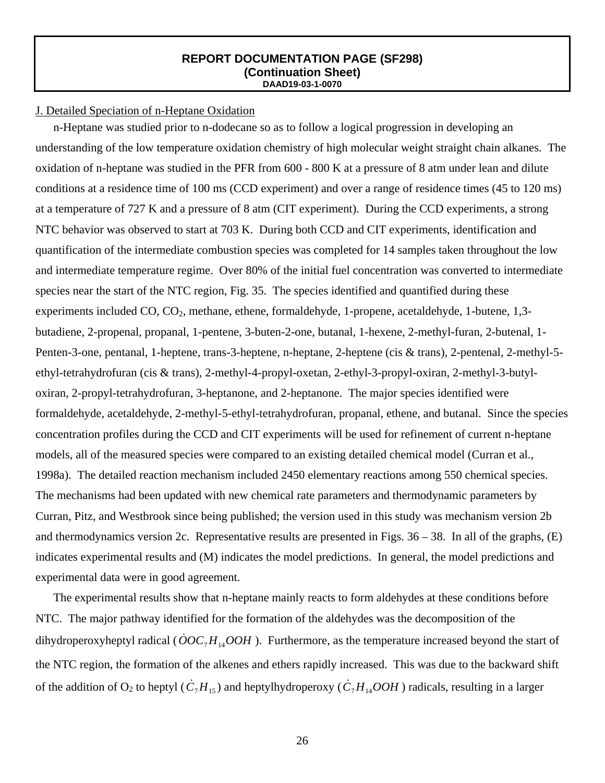## J. Detailed Speciation of n-Heptane Oxidation

n-Heptane was studied prior to n-dodecane so as to follow a logical progression in developing an understanding of the low temperature oxidation chemistry of high molecular weight straight chain alkanes. The oxidation of n-heptane was studied in the PFR from 600 - 800 K at a pressure of 8 atm under lean and dilute conditions at a residence time of 100 ms (CCD experiment) and over a range of residence times (45 to 120 ms) at a temperature of 727 K and a pressure of 8 atm (CIT experiment). During the CCD experiments, a strong NTC behavior was observed to start at 703 K. During both CCD and CIT experiments, identification and quantification of the intermediate combustion species was completed for 14 samples taken throughout the low and intermediate temperature regime. Over 80% of the initial fuel concentration was converted to intermediate species near the start of the NTC region, Fig. 35. The species identified and quantified during these experiments included CO, CO<sub>2</sub>, methane, ethene, formaldehyde, 1-propene, acetaldehyde, 1-butene, 1,3butadiene, 2-propenal, propanal, 1-pentene, 3-buten-2-one, butanal, 1-hexene, 2-methyl-furan, 2-butenal, 1- Penten-3-one, pentanal, 1-heptene, trans-3-heptene, n-heptane, 2-heptene (cis & trans), 2-pentenal, 2-methyl-5 ethyl-tetrahydrofuran (cis & trans), 2-methyl-4-propyl-oxetan, 2-ethyl-3-propyl-oxiran, 2-methyl-3-butyloxiran, 2-propyl-tetrahydrofuran, 3-heptanone, and 2-heptanone. The major species identified were formaldehyde, acetaldehyde, 2-methyl-5-ethyl-tetrahydrofuran, propanal, ethene, and butanal. Since the species concentration profiles during the CCD and CIT experiments will be used for refinement of current n-heptane models, all of the measured species were compared to an existing detailed chemical model (Curran et al., 1998a). The detailed reaction mechanism included 2450 elementary reactions among 550 chemical species. The mechanisms had been updated with new chemical rate parameters and thermodynamic parameters by Curran, Pitz, and Westbrook since being published; the version used in this study was mechanism version 2b and thermodynamics version 2c. Representative results are presented in Figs.  $36 - 38$ . In all of the graphs, (E) indicates experimental results and (M) indicates the model predictions. In general, the model predictions and experimental data were in good agreement.

The experimental results show that n-heptane mainly reacts to form aldehydes at these conditions before NTC. The major pathway identified for the formation of the aldehydes was the decomposition of the dihydroperoxyheptyl radical ( $\dot{O}OC_7H_{14}OOH$ ). Furthermore, as the temperature increased beyond the start of the NTC region, the formation of the alkenes and ethers rapidly increased. This was due to the backward shift of the addition of O<sub>2</sub> to heptyl ( $\dot{C}_7H_{15}$ ) and heptylhydroperoxy ( $\dot{C}_7H_{14}OOH$ ) radicals, resulting in a larger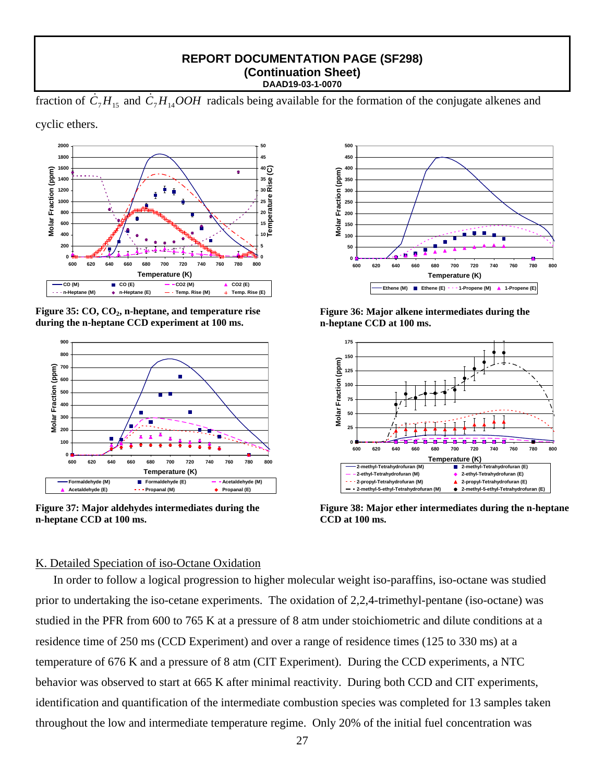fraction of  $\dot{C}_7H_{15}$  and  $\dot{C}_7H_{14}OOH$  radicals being available for the formation of the conjugate alkenes and

cyclic ethers.



Figure 35: CO, CO<sub>2</sub>, n-heptane, and temperature rise **during the n-heptane CCD experiment at 100 ms.** 



**Figure 37: Major aldehydes intermediates during the n-heptane CCD at 100 ms.** 



**Figure 36: Major alkene intermediates during the n-heptane CCD at 100 ms.** 



**Figure 38: Major ether intermediates during the n-heptane CCD at 100 ms.** 

## K. Detailed Speciation of iso-Octane Oxidation

In order to follow a logical progression to higher molecular weight iso-paraffins, iso-octane was studied prior to undertaking the iso-cetane experiments. The oxidation of 2,2,4-trimethyl-pentane (iso-octane) was studied in the PFR from 600 to 765 K at a pressure of 8 atm under stoichiometric and dilute conditions at a residence time of 250 ms (CCD Experiment) and over a range of residence times (125 to 330 ms) at a temperature of 676 K and a pressure of 8 atm (CIT Experiment). During the CCD experiments, a NTC behavior was observed to start at 665 K after minimal reactivity. During both CCD and CIT experiments, identification and quantification of the intermediate combustion species was completed for 13 samples taken throughout the low and intermediate temperature regime. Only 20% of the initial fuel concentration was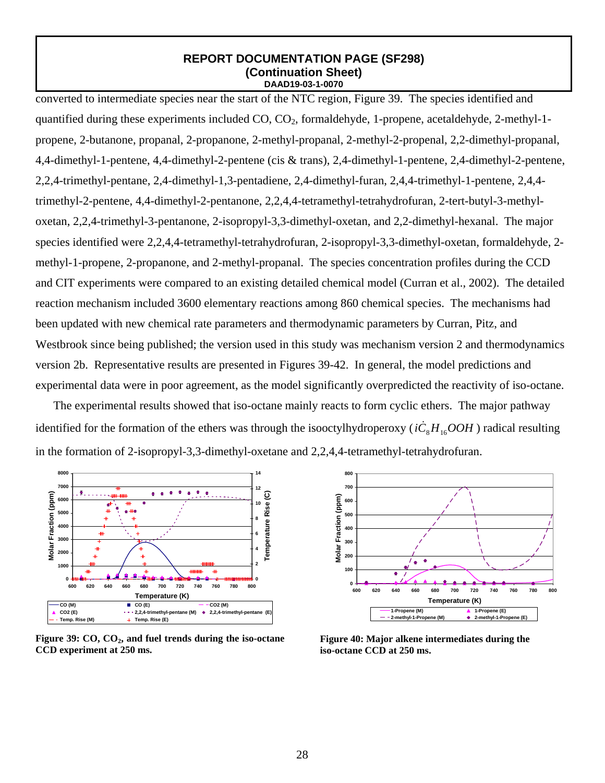converted to intermediate species near the start of the NTC region, Figure 39. The species identified and quantified during these experiments included CO, CO<sub>2</sub>, formaldehyde, 1-propene, acetaldehyde, 2-methyl-1propene, 2-butanone, propanal, 2-propanone, 2-methyl-propanal, 2-methyl-2-propenal, 2,2-dimethyl-propanal, 4,4-dimethyl-1-pentene, 4,4-dimethyl-2-pentene (cis & trans), 2,4-dimethyl-1-pentene, 2,4-dimethyl-2-pentene, 2,2,4-trimethyl-pentane, 2,4-dimethyl-1,3-pentadiene, 2,4-dimethyl-furan, 2,4,4-trimethyl-1-pentene, 2,4,4 trimethyl-2-pentene, 4,4-dimethyl-2-pentanone, 2,2,4,4-tetramethyl-tetrahydrofuran, 2-tert-butyl-3-methyloxetan, 2,2,4-trimethyl-3-pentanone, 2-isopropyl-3,3-dimethyl-oxetan, and 2,2-dimethyl-hexanal. The major species identified were 2,2,4,4-tetramethyl-tetrahydrofuran, 2-isopropyl-3,3-dimethyl-oxetan, formaldehyde, 2 methyl-1-propene, 2-propanone, and 2-methyl-propanal. The species concentration profiles during the CCD and CIT experiments were compared to an existing detailed chemical model (Curran et al., 2002). The detailed reaction mechanism included 3600 elementary reactions among 860 chemical species. The mechanisms had been updated with new chemical rate parameters and thermodynamic parameters by Curran, Pitz, and Westbrook since being published; the version used in this study was mechanism version 2 and thermodynamics version 2b. Representative results are presented in Figures 39-42. In general, the model predictions and experimental data were in poor agreement, as the model significantly overpredicted the reactivity of iso-octane.

The experimental results showed that iso-octane mainly reacts to form cyclic ethers. The major pathway identified for the formation of the ethers was through the isooctylhydroperoxy ( $i\dot{C}_8H_{16}OOH$ ) radical resulting in the formation of 2-isopropyl-3,3-dimethyl-oxetane and 2,2,4,4-tetramethyl-tetrahydrofuran.



Figure 39: CO, CO<sub>2</sub>, and fuel trends during the iso-octane **CCD experiment at 250 ms.** 



**Figure 40: Major alkene intermediates during the iso-octane CCD at 250 ms.**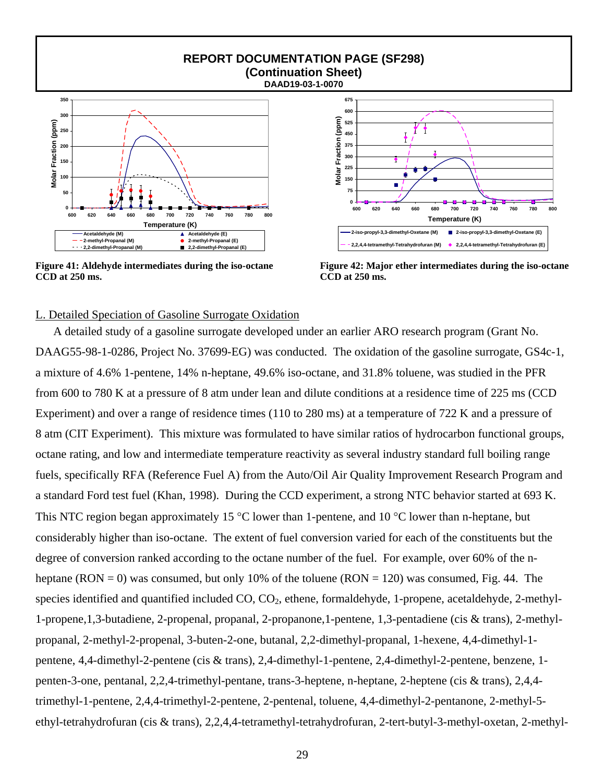

**Figure 41: Aldehyde intermediates during the iso-octane CCD at 250 ms.** 



**Figure 42: Major ether intermediates during the iso-octane CCD at 250 ms.**

## L. Detailed Speciation of Gasoline Surrogate Oxidation

A detailed study of a gasoline surrogate developed under an earlier ARO research program (Grant No. DAAG55-98-1-0286, Project No. 37699-EG) was conducted. The oxidation of the gasoline surrogate, GS4c-1, a mixture of 4.6% 1-pentene, 14% n-heptane, 49.6% iso-octane, and 31.8% toluene, was studied in the PFR from 600 to 780 K at a pressure of 8 atm under lean and dilute conditions at a residence time of 225 ms (CCD Experiment) and over a range of residence times (110 to 280 ms) at a temperature of 722 K and a pressure of 8 atm (CIT Experiment). This mixture was formulated to have similar ratios of hydrocarbon functional groups, octane rating, and low and intermediate temperature reactivity as several industry standard full boiling range fuels, specifically RFA (Reference Fuel A) from the Auto/Oil Air Quality Improvement Research Program and a standard Ford test fuel (Khan, 1998). During the CCD experiment, a strong NTC behavior started at 693 K. This NTC region began approximately 15 °C lower than 1-pentene, and 10 °C lower than n-heptane, but considerably higher than iso-octane. The extent of fuel conversion varied for each of the constituents but the degree of conversion ranked according to the octane number of the fuel. For example, over 60% of the nheptane (RON = 0) was consumed, but only 10% of the toluene (RON = 120) was consumed, Fig. 44. The species identified and quantified included  $CO$ ,  $CO<sub>2</sub>$ , ethene, formaldehyde, 1-propene, acetaldehyde, 2-methyl-1-propene,1,3-butadiene, 2-propenal, propanal, 2-propanone,1-pentene, 1,3-pentadiene (cis & trans), 2-methylpropanal, 2-methyl-2-propenal, 3-buten-2-one, butanal, 2,2-dimethyl-propanal, 1-hexene, 4,4-dimethyl-1 pentene, 4,4-dimethyl-2-pentene (cis & trans), 2,4-dimethyl-1-pentene, 2,4-dimethyl-2-pentene, benzene, 1 penten-3-one, pentanal, 2,2,4-trimethyl-pentane, trans-3-heptene, n-heptane, 2-heptene (cis & trans), 2,4,4 trimethyl-1-pentene, 2,4,4-trimethyl-2-pentene, 2-pentenal, toluene, 4,4-dimethyl-2-pentanone, 2-methyl-5 ethyl-tetrahydrofuran (cis & trans), 2,2,4,4-tetramethyl-tetrahydrofuran, 2-tert-butyl-3-methyl-oxetan, 2-methyl-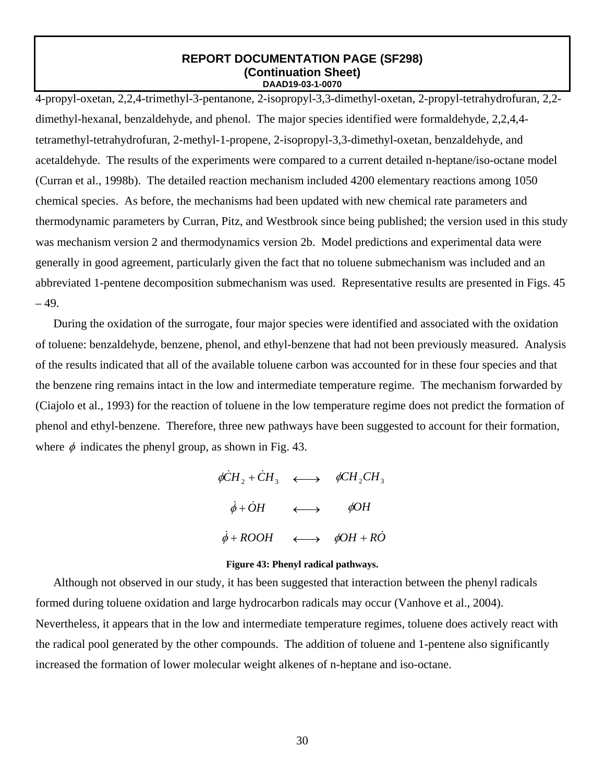4-propyl-oxetan, 2,2,4-trimethyl-3-pentanone, 2-isopropyl-3,3-dimethyl-oxetan, 2-propyl-tetrahydrofuran, 2,2 dimethyl-hexanal, benzaldehyde, and phenol. The major species identified were formaldehyde, 2,2,4,4 tetramethyl-tetrahydrofuran, 2-methyl-1-propene, 2-isopropyl-3,3-dimethyl-oxetan, benzaldehyde, and acetaldehyde. The results of the experiments were compared to a current detailed n-heptane/iso-octane model (Curran et al., 1998b). The detailed reaction mechanism included 4200 elementary reactions among 1050 chemical species. As before, the mechanisms had been updated with new chemical rate parameters and thermodynamic parameters by Curran, Pitz, and Westbrook since being published; the version used in this study was mechanism version 2 and thermodynamics version 2b. Model predictions and experimental data were generally in good agreement, particularly given the fact that no toluene submechanism was included and an abbreviated 1-pentene decomposition submechanism was used. Representative results are presented in Figs. 45  $-49.$ 

During the oxidation of the surrogate, four major species were identified and associated with the oxidation of toluene: benzaldehyde, benzene, phenol, and ethyl-benzene that had not been previously measured. Analysis of the results indicated that all of the available toluene carbon was accounted for in these four species and that the benzene ring remains intact in the low and intermediate temperature regime. The mechanism forwarded by (Ciajolo et al., 1993) for the reaction of toluene in the low temperature regime does not predict the formation of phenol and ethyl-benzene. Therefore, three new pathways have been suggested to account for their formation, where  $\phi$  indicates the phenyl group, as shown in Fig. 43.

> $\phi \dot{C} H_2 + \dot{C} H_3 \longleftrightarrow \phi \dot{C} H_2 \dot{C} H_3$  $\dot{\phi} + \dot{O}H \longleftrightarrow \phiOH$  $\dot{\phi} + ROOH \longleftrightarrow \phi OH + R\dot{O}$

#### **Figure 43: Phenyl radical pathways.**

Although not observed in our study, it has been suggested that interaction between the phenyl radicals formed during toluene oxidation and large hydrocarbon radicals may occur (Vanhove et al., 2004). Nevertheless, it appears that in the low and intermediate temperature regimes, toluene does actively react with the radical pool generated by the other compounds. The addition of toluene and 1-pentene also significantly increased the formation of lower molecular weight alkenes of n-heptane and iso-octane.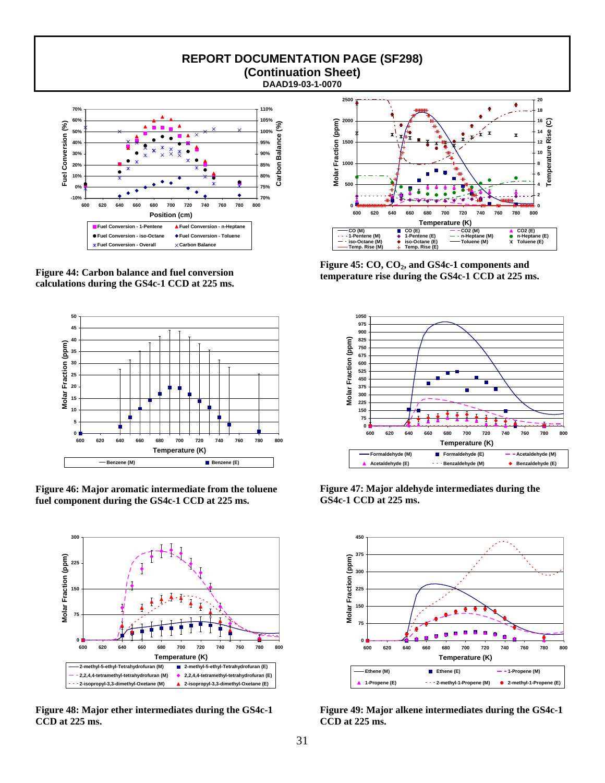

**Figure 44: Carbon balance and fuel conversion calculations during the GS4c-1 CCD at 225 ms.** 



**Figure 46: Major aromatic intermediate from the toluene fuel component during the GS4c-1 CCD at 225 ms.** 



**Figure 48: Major ether intermediates during the GS4c-1 CCD at 225 ms.** 



Figure 45: CO, CO<sub>2</sub>, and GS4c-1 components and **temperature rise during the GS4c-1 CCD at 225 ms.** 



**Figure 47: Major aldehyde intermediates during the GS4c-1 CCD at 225 ms.**



**Figure 49: Major alkene intermediates during the GS4c-1 CCD at 225 ms.**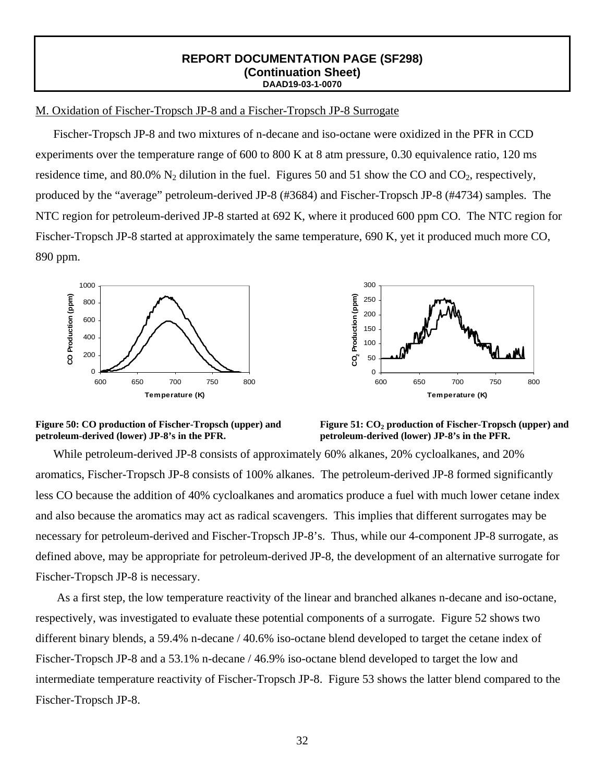## M. Oxidation of Fischer-Tropsch JP-8 and a Fischer-Tropsch JP-8 Surrogate

Fischer-Tropsch JP-8 and two mixtures of n-decane and iso-octane were oxidized in the PFR in CCD experiments over the temperature range of 600 to 800 K at 8 atm pressure, 0.30 equivalence ratio, 120 ms residence time, and  $80.0\%$  N<sub>2</sub> dilution in the fuel. Figures 50 and 51 show the CO and CO<sub>2</sub>, respectively, produced by the "average" petroleum-derived JP-8 (#3684) and Fischer-Tropsch JP-8 (#4734) samples. The NTC region for petroleum-derived JP-8 started at 692 K, where it produced 600 ppm CO. The NTC region for Fischer-Tropsch JP-8 started at approximately the same temperature, 690 K, yet it produced much more CO, 890 ppm.





#### **Figure 50: CO production of Fischer-Tropsch (upper) and petroleum-derived (lower) JP-8's in the PFR.**



While petroleum-derived JP-8 consists of approximately 60% alkanes, 20% cycloalkanes, and 20% aromatics, Fischer-Tropsch JP-8 consists of 100% alkanes. The petroleum-derived JP-8 formed significantly less CO because the addition of 40% cycloalkanes and aromatics produce a fuel with much lower cetane index and also because the aromatics may act as radical scavengers. This implies that different surrogates may be necessary for petroleum-derived and Fischer-Tropsch JP-8's. Thus, while our 4-component JP-8 surrogate, as defined above, may be appropriate for petroleum-derived JP-8, the development of an alternative surrogate for Fischer-Tropsch JP-8 is necessary.

As a first step, the low temperature reactivity of the linear and branched alkanes n-decane and iso-octane, respectively, was investigated to evaluate these potential components of a surrogate. Figure 52 shows two different binary blends, a 59.4% n-decane / 40.6% iso-octane blend developed to target the cetane index of Fischer-Tropsch JP-8 and a 53.1% n-decane / 46.9% iso-octane blend developed to target the low and intermediate temperature reactivity of Fischer-Tropsch JP-8. Figure 53 shows the latter blend compared to the Fischer-Tropsch JP-8.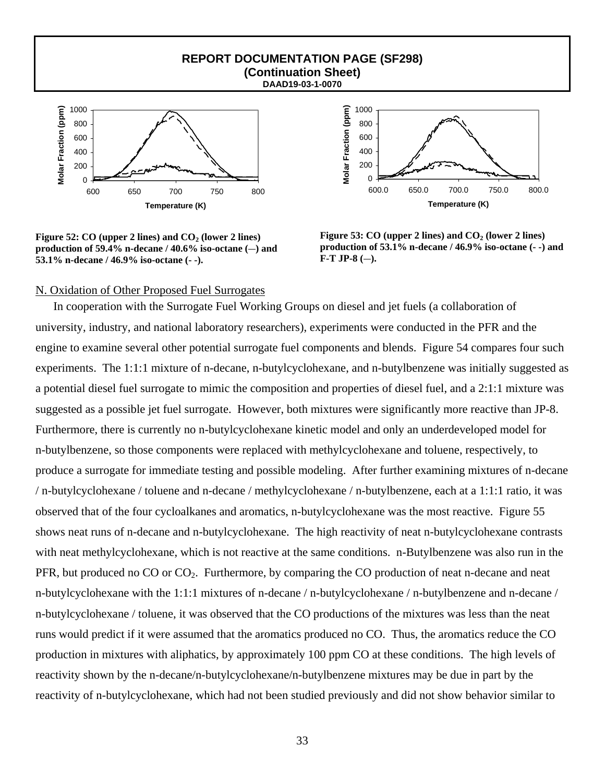

**Figure 52: CO (upper 2 lines) and**  $CO<sub>2</sub>$  **(lower 2 lines)** production of  $59.4\%$  n-decane /  $40.6\%$  iso-octane (-) and **53.1% n-decane / 46.9% iso-octane (- -).** 



Figure 53: CO (upper 2 lines) and CO<sub>2</sub> (lower 2 lines) **production of 53.1% n-decane / 46.9% iso-octane (- -) and**   $F-T JP-8$  (-).

#### N. Oxidation of Other Proposed Fuel Surrogates

In cooperation with the Surrogate Fuel Working Groups on diesel and jet fuels (a collaboration of university, industry, and national laboratory researchers), experiments were conducted in the PFR and the engine to examine several other potential surrogate fuel components and blends. Figure 54 compares four such experiments. The 1:1:1 mixture of n-decane, n-butylcyclohexane, and n-butylbenzene was initially suggested as a potential diesel fuel surrogate to mimic the composition and properties of diesel fuel, and a 2:1:1 mixture was suggested as a possible jet fuel surrogate. However, both mixtures were significantly more reactive than JP-8. Furthermore, there is currently no n-butylcyclohexane kinetic model and only an underdeveloped model for n-butylbenzene, so those components were replaced with methylcyclohexane and toluene, respectively, to produce a surrogate for immediate testing and possible modeling. After further examining mixtures of n-decane / n-butylcyclohexane / toluene and n-decane / methylcyclohexane / n-butylbenzene, each at a 1:1:1 ratio, it was observed that of the four cycloalkanes and aromatics, n-butylcyclohexane was the most reactive. Figure 55 shows neat runs of n-decane and n-butylcyclohexane. The high reactivity of neat n-butylcyclohexane contrasts with neat methylcyclohexane, which is not reactive at the same conditions. n-Butylbenzene was also run in the PFR, but produced no CO or CO<sub>2</sub>. Furthermore, by comparing the CO production of neat n-decane and neat n-butylcyclohexane with the 1:1:1 mixtures of n-decane / n-butylcyclohexane / n-butylbenzene and n-decane / n-butylcyclohexane / toluene, it was observed that the CO productions of the mixtures was less than the neat runs would predict if it were assumed that the aromatics produced no CO. Thus, the aromatics reduce the CO production in mixtures with aliphatics, by approximately 100 ppm CO at these conditions. The high levels of reactivity shown by the n-decane/n-butylcyclohexane/n-butylbenzene mixtures may be due in part by the reactivity of n-butylcyclohexane, which had not been studied previously and did not show behavior similar to

**REPORT DOCUMENTATION PAGE (SF298) (Continuation Sheet)**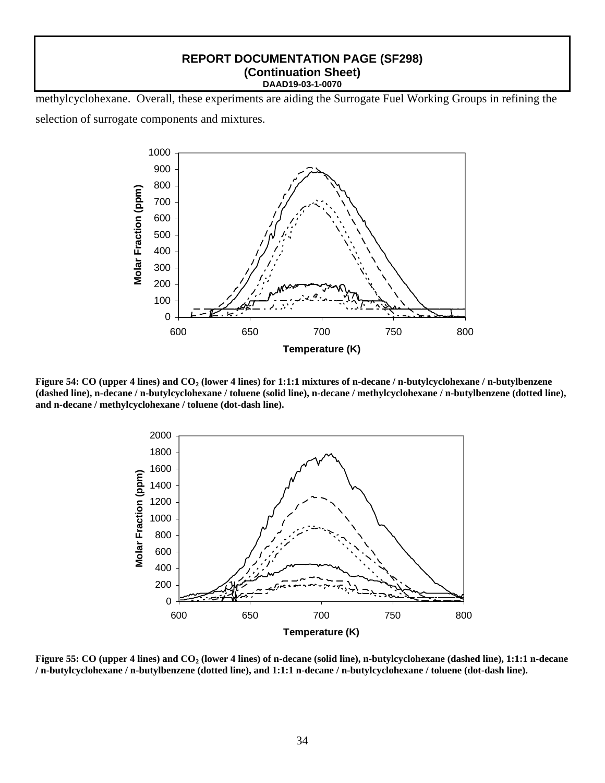methylcyclohexane. Overall, these experiments are aiding the Surrogate Fuel Working Groups in refining the selection of surrogate components and mixtures.



**Figure 54: CO (upper 4 lines) and CO<sub>2</sub> (lower 4 lines) for 1:1:1 mixtures of n-decane / n-butylcyclohexane / n-butylbenzene (dashed line), n-decane / n-butylcyclohexane / toluene (solid line), n-decane / methylcyclohexane / n-butylbenzene (dotted line), and n-decane / methylcyclohexane / toluene (dot-dash line).** 



**Figure 55: CO (upper 4 lines) and CO2 (lower 4 lines) of n-decane (solid line), n-butylcyclohexane (dashed line), 1:1:1 n-decane / n-butylcyclohexane / n-butylbenzene (dotted line), and 1:1:1 n-decane / n-butylcyclohexane / toluene (dot-dash line).**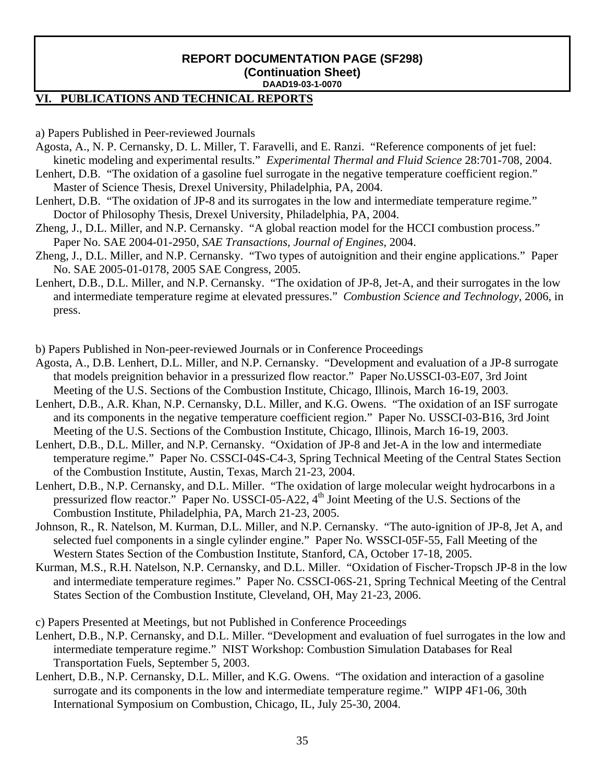## **VI. PUBLICATIONS AND TECHNICAL REPORTS**

a) Papers Published in Peer-reviewed Journals

- Agosta, A., N. P. Cernansky, D. L. Miller, T. Faravelli, and E. Ranzi. "Reference components of jet fuel: kinetic modeling and experimental results." *Experimental Thermal and Fluid Science* 28:701-708, 2004.
- Lenhert, D.B. "The oxidation of a gasoline fuel surrogate in the negative temperature coefficient region." Master of Science Thesis, Drexel University, Philadelphia, PA, 2004.
- Lenhert, D.B. "The oxidation of JP-8 and its surrogates in the low and intermediate temperature regime*.*" Doctor of Philosophy Thesis, Drexel University, Philadelphia, PA, 2004.
- Zheng, J., D.L. Miller, and N.P. Cernansky. "A global reaction model for the HCCI combustion process." Paper No. SAE 2004-01-2950, *SAE Transactions, Journal of Engines*, 2004.
- Zheng, J., D.L. Miller, and N.P. Cernansky. "Two types of autoignition and their engine applications." Paper No. SAE 2005-01-0178, 2005 SAE Congress, 2005.
- Lenhert, D.B., D.L. Miller, and N.P. Cernansky. "The oxidation of JP-8, Jet-A, and their surrogates in the low and intermediate temperature regime at elevated pressures." *Combustion Science and Technology*, 2006, in press.

b) Papers Published in Non-peer-reviewed Journals or in Conference Proceedings

- Agosta, A., D.B. Lenhert, D.L. Miller, and N.P. Cernansky. "Development and evaluation of a JP-8 surrogate that models preignition behavior in a pressurized flow reactor." Paper No.USSCI-03-E07, 3rd Joint Meeting of the U.S. Sections of the Combustion Institute, Chicago, Illinois, March 16-19, 2003.
- Lenhert, D.B., A.R. Khan, N.P. Cernansky, D.L. Miller, and K.G. Owens. "The oxidation of an ISF surrogate and its components in the negative temperature coefficient region." Paper No. USSCI-03-B16, 3rd Joint Meeting of the U.S. Sections of the Combustion Institute, Chicago, Illinois, March 16-19, 2003.
- Lenhert, D.B., D.L. Miller, and N.P. Cernansky. "Oxidation of JP-8 and Jet-A in the low and intermediate temperature regime." Paper No. CSSCI-04S-C4-3, Spring Technical Meeting of the Central States Section of the Combustion Institute, Austin, Texas, March 21-23, 2004.
- Lenhert, D.B., N.P. Cernansky, and D.L. Miller. "The oxidation of large molecular weight hydrocarbons in a pressurized flow reactor." Paper No. USSCI-05-A22, 4<sup>th</sup> Joint Meeting of the U.S. Sections of the Combustion Institute, Philadelphia, PA, March 21-23, 2005.
- Johnson, R., R. Natelson, M. Kurman, D.L. Miller, and N.P. Cernansky. "The auto-ignition of JP-8, Jet A, and selected fuel components in a single cylinder engine." Paper No. WSSCI-05F-55, Fall Meeting of the Western States Section of the Combustion Institute, Stanford, CA, October 17-18, 2005.
- Kurman, M.S., R.H. Natelson, N.P. Cernansky, and D.L. Miller. "Oxidation of Fischer-Tropsch JP-8 in the low and intermediate temperature regimes." Paper No. CSSCI-06S-21, Spring Technical Meeting of the Central States Section of the Combustion Institute, Cleveland, OH, May 21-23, 2006.

c) Papers Presented at Meetings, but not Published in Conference Proceedings

- Lenhert, D.B., N.P. Cernansky, and D.L. Miller. "Development and evaluation of fuel surrogates in the low and intermediate temperature regime." NIST Workshop: Combustion Simulation Databases for Real Transportation Fuels, September 5, 2003.
- Lenhert, D.B., N.P. Cernansky, D.L. Miller, and K.G. Owens. "The oxidation and interaction of a gasoline surrogate and its components in the low and intermediate temperature regime." WIPP 4F1-06, 30th International Symposium on Combustion, Chicago, IL, July 25-30, 2004.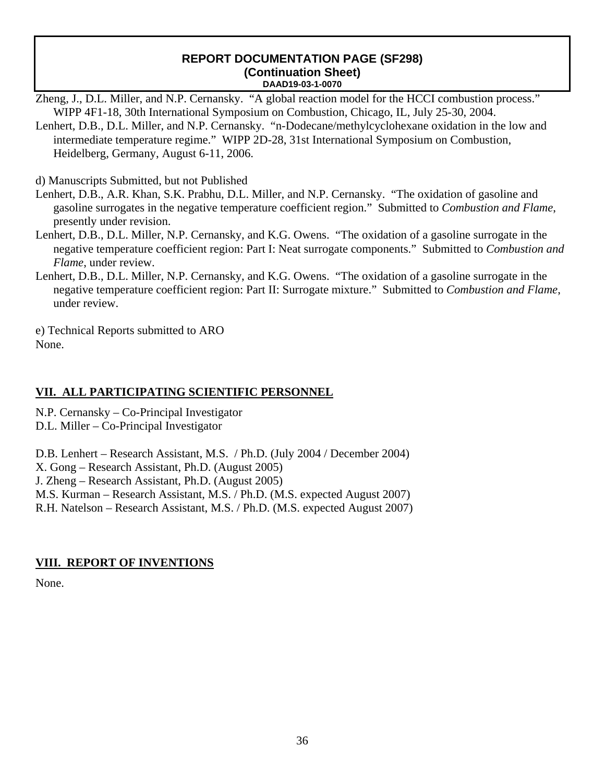Zheng, J., D.L. Miller, and N.P. Cernansky. "A global reaction model for the HCCI combustion process." WIPP 4F1-18, 30th International Symposium on Combustion, Chicago, IL, July 25-30, 2004.

Lenhert, D.B., D.L. Miller, and N.P. Cernansky. "n-Dodecane/methylcyclohexane oxidation in the low and intermediate temperature regime." WIPP 2D-28, 31st International Symposium on Combustion, Heidelberg, Germany, August 6-11, 2006.

d) Manuscripts Submitted, but not Published

- Lenhert, D.B., A.R. Khan, S.K. Prabhu, D.L. Miller, and N.P. Cernansky. "The oxidation of gasoline and gasoline surrogates in the negative temperature coefficient region." Submitted to *Combustion and Flame*, presently under revision.
- Lenhert, D.B., D.L. Miller, N.P. Cernansky, and K.G. Owens. "The oxidation of a gasoline surrogate in the negative temperature coefficient region: Part I: Neat surrogate components." Submitted to *Combustion and Flame*, under review.
- Lenhert, D.B., D.L. Miller, N.P. Cernansky, and K.G. Owens. "The oxidation of a gasoline surrogate in the negative temperature coefficient region: Part II: Surrogate mixture." Submitted to *Combustion and Flame*, under review.

e) Technical Reports submitted to ARO None.

## **VII. ALL PARTICIPATING SCIENTIFIC PERSONNEL**

N.P. Cernansky – Co-Principal Investigator

D.L. Miller – Co-Principal Investigator

D.B. Lenhert – Research Assistant, M.S. / Ph.D. (July 2004 / December 2004)

X. Gong – Research Assistant, Ph.D. (August 2005)

J. Zheng – Research Assistant, Ph.D. (August 2005)

M.S. Kurman – Research Assistant, M.S. / Ph.D. (M.S. expected August 2007)

R.H. Natelson – Research Assistant, M.S. / Ph.D. (M.S. expected August 2007)

## **VIII. REPORT OF INVENTIONS**

None.